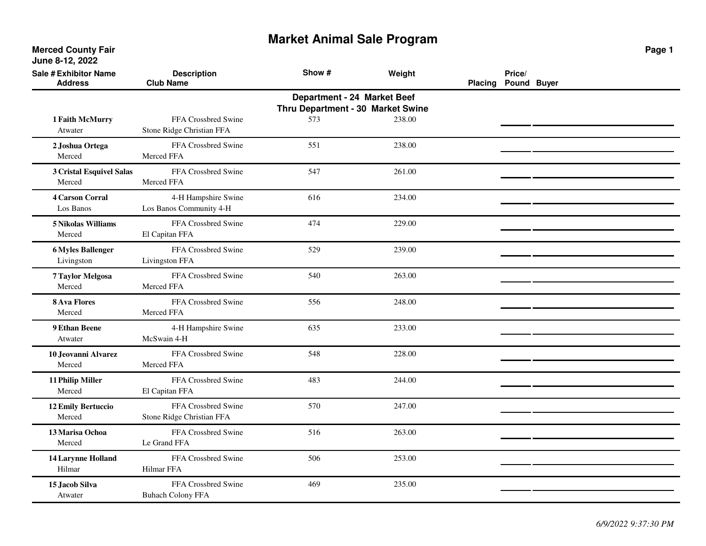**Merced County Fair June 8-12, 2022**

| Sale # Exhibitor Name<br><b>Address</b> | <b>Description</b><br><b>Club Name</b>           | Show #                                                           | Weight | <b>Placing</b> | Price/<br>Pound Buyer |  |
|-----------------------------------------|--------------------------------------------------|------------------------------------------------------------------|--------|----------------|-----------------------|--|
|                                         |                                                  | Department - 24 Market Beef<br>Thru Department - 30 Market Swine |        |                |                       |  |
| 1 Faith McMurry<br>Atwater              | FFA Crossbred Swine<br>Stone Ridge Christian FFA | 573                                                              | 238.00 |                |                       |  |
| 2 Joshua Ortega<br>Merced               | FFA Crossbred Swine<br>Merced FFA                | 551                                                              | 238.00 |                |                       |  |
| 3 Cristal Esquivel Salas<br>Merced      | FFA Crossbred Swine<br>Merced FFA                | 547                                                              | 261.00 |                |                       |  |
| <b>4 Carson Corral</b><br>Los Banos     | 4-H Hampshire Swine<br>Los Banos Community 4-H   | 616                                                              | 234.00 |                |                       |  |
| 5 Nikolas Williams<br>Merced            | FFA Crossbred Swine<br>El Capitan FFA            | 474                                                              | 229.00 |                |                       |  |
| <b>6 Myles Ballenger</b><br>Livingston  | FFA Crossbred Swine<br>Livingston FFA            | 529                                                              | 239.00 |                |                       |  |
| 7 Taylor Melgosa<br>Merced              | FFA Crossbred Swine<br>Merced FFA                | 540                                                              | 263.00 |                |                       |  |
| <b>8 Ava Flores</b><br>Merced           | FFA Crossbred Swine<br>Merced FFA                | 556                                                              | 248.00 |                |                       |  |
| 9 Ethan Beene<br>Atwater                | 4-H Hampshire Swine<br>McSwain 4-H               | 635                                                              | 233.00 |                |                       |  |
| 10 Jeovanni Alvarez<br>Merced           | FFA Crossbred Swine<br>Merced FFA                | 548                                                              | 228.00 |                |                       |  |
| 11 Philip Miller<br>Merced              | FFA Crossbred Swine<br>El Capitan FFA            | 483                                                              | 244.00 |                |                       |  |
| <b>12 Emily Bertuccio</b><br>Merced     | FFA Crossbred Swine<br>Stone Ridge Christian FFA | 570                                                              | 247.00 |                |                       |  |
| 13 Marisa Ochoa<br>Merced               | FFA Crossbred Swine<br>Le Grand FFA              | 516                                                              | 263.00 |                |                       |  |
| <b>14 Larynne Holland</b><br>Hilmar     | FFA Crossbred Swine<br><b>Hilmar FFA</b>         | 506                                                              | 253.00 |                |                       |  |
| 15 Jacob Silva<br>Atwater               | FFA Crossbred Swine<br><b>Buhach Colony FFA</b>  | 469                                                              | 235.00 |                |                       |  |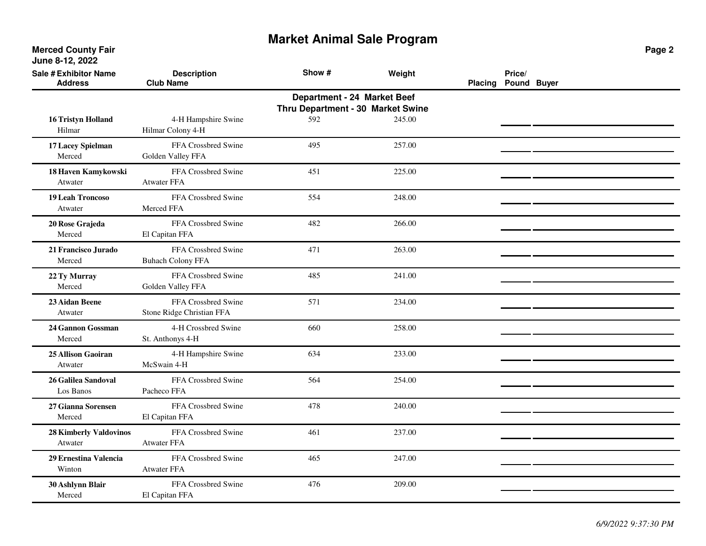| <b>Sale # Exhibitor Name</b><br><b>Address</b> | <b>Description</b><br><b>Club Name</b>           | Show #                                                           | Weight | <b>Placing</b> | Price/<br>Pound Buyer |  |
|------------------------------------------------|--------------------------------------------------|------------------------------------------------------------------|--------|----------------|-----------------------|--|
|                                                |                                                  | Department - 24 Market Beef<br>Thru Department - 30 Market Swine |        |                |                       |  |
| <b>16 Tristyn Holland</b><br>Hilmar            | 4-H Hampshire Swine<br>Hilmar Colony 4-H         | 592                                                              | 245.00 |                |                       |  |
| 17 Lacey Spielman<br>Merced                    | FFA Crossbred Swine<br>Golden Valley FFA         | 495                                                              | 257.00 |                |                       |  |
| 18 Haven Kamykowski<br>Atwater                 | FFA Crossbred Swine<br><b>Atwater FFA</b>        | 451                                                              | 225.00 |                |                       |  |
| 19 Leah Troncoso<br>Atwater                    | FFA Crossbred Swine<br>Merced FFA                | 554                                                              | 248.00 |                |                       |  |
| 20 Rose Grajeda<br>Merced                      | FFA Crossbred Swine<br>El Capitan FFA            | 482                                                              | 266.00 |                |                       |  |
| 21 Francisco Jurado<br>Merced                  | FFA Crossbred Swine<br><b>Buhach Colony FFA</b>  | 471                                                              | 263.00 |                |                       |  |
| 22 Ty Murray<br>Merced                         | FFA Crossbred Swine<br>Golden Valley FFA         | 485                                                              | 241.00 |                |                       |  |
| 23 Aidan Beene<br>Atwater                      | FFA Crossbred Swine<br>Stone Ridge Christian FFA | 571                                                              | 234.00 |                |                       |  |
| 24 Gannon Gossman<br>Merced                    | 4-H Crossbred Swine<br>St. Anthonys 4-H          | 660                                                              | 258.00 |                |                       |  |
| 25 Allison Gaoiran<br>Atwater                  | 4-H Hampshire Swine<br>McSwain 4-H               | 634                                                              | 233.00 |                |                       |  |
| 26 Galilea Sandoval<br>Los Banos               | FFA Crossbred Swine<br>Pacheco FFA               | 564                                                              | 254.00 |                |                       |  |
| 27 Gianna Sorensen<br>Merced                   | FFA Crossbred Swine<br>El Capitan FFA            | 478                                                              | 240.00 |                |                       |  |
| <b>28 Kimberly Valdovinos</b><br>Atwater       | FFA Crossbred Swine<br><b>Atwater FFA</b>        | 461                                                              | 237.00 |                |                       |  |
| 29 Ernestina Valencia<br>Winton                | FFA Crossbred Swine<br><b>Atwater FFA</b>        | 465                                                              | 247.00 |                |                       |  |
| 30 Ashlynn Blair<br>Merced                     | FFA Crossbred Swine<br>El Capitan FFA            | 476                                                              | 209.00 |                |                       |  |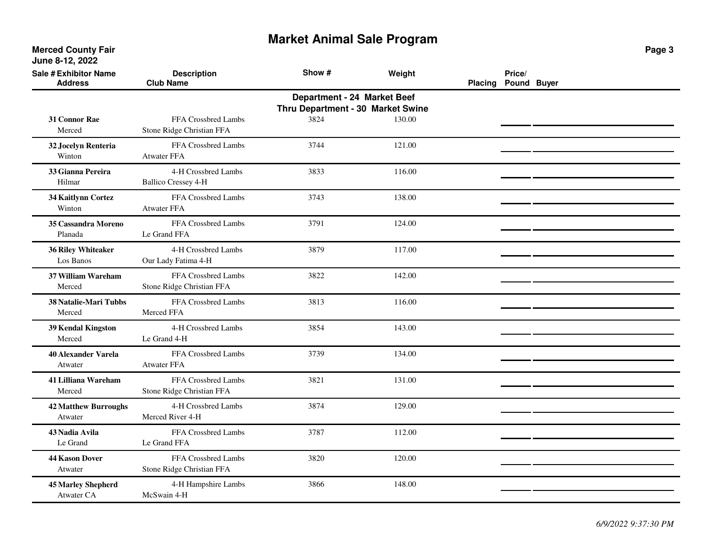**Merced County Fair June 8-12, 2022**

| Sale # Exhibitor Name<br><b>Address</b>        | <b>Description</b><br><b>Club Name</b>            | Show #                                                           | Weight | <b>Placing</b> | Price/<br>Pound Buyer |  |
|------------------------------------------------|---------------------------------------------------|------------------------------------------------------------------|--------|----------------|-----------------------|--|
|                                                |                                                   | Department - 24 Market Beef<br>Thru Department - 30 Market Swine |        |                |                       |  |
| <b>31 Connor Rae</b><br>Merced                 | FFA Crossbred Lambs<br>Stone Ridge Christian FFA  | 3824                                                             | 130.00 |                |                       |  |
| 32 Jocelyn Renteria<br>Winton                  | FFA Crossbred Lambs<br>Atwater FFA                | 3744                                                             | 121.00 |                |                       |  |
| 33 Gianna Pereira<br>Hilmar                    | 4-H Crossbred Lambs<br><b>Ballico Cressey 4-H</b> | 3833                                                             | 116.00 |                |                       |  |
| 34 Kaitlynn Cortez<br>Winton                   | FFA Crossbred Lambs<br><b>Atwater FFA</b>         | 3743                                                             | 138.00 |                |                       |  |
| 35 Cassandra Moreno<br>Planada                 | FFA Crossbred Lambs<br>Le Grand FFA               | 3791                                                             | 124.00 |                |                       |  |
| <b>36 Riley Whiteaker</b><br>Los Banos         | 4-H Crossbred Lambs<br>Our Lady Fatima 4-H        | 3879                                                             | 117.00 |                |                       |  |
| <b>37 William Wareham</b><br>Merced            | FFA Crossbred Lambs<br>Stone Ridge Christian FFA  | 3822                                                             | 142.00 |                |                       |  |
| <b>38 Natalie-Mari Tubbs</b><br>Merced         | FFA Crossbred Lambs<br>Merced FFA                 | 3813                                                             | 116.00 |                |                       |  |
| 39 Kendal Kingston<br>Merced                   | 4-H Crossbred Lambs<br>Le Grand 4-H               | 3854                                                             | 143.00 |                |                       |  |
| <b>40 Alexander Varela</b><br>Atwater          | FFA Crossbred Lambs<br><b>Atwater FFA</b>         | 3739                                                             | 134.00 |                |                       |  |
| <b>41 Lilliana Wareham</b><br>Merced           | FFA Crossbred Lambs<br>Stone Ridge Christian FFA  | 3821                                                             | 131.00 |                |                       |  |
| <b>42 Matthew Burroughs</b><br>Atwater         | 4-H Crossbred Lambs<br>Merced River 4-H           | 3874                                                             | 129.00 |                |                       |  |
| 43 Nadia Avila<br>Le Grand                     | FFA Crossbred Lambs<br>Le Grand FFA               | 3787                                                             | 112.00 |                |                       |  |
| <b>44 Kason Dover</b><br>Atwater               | FFA Crossbred Lambs<br>Stone Ridge Christian FFA  | 3820                                                             | 120.00 |                |                       |  |
| <b>45 Marley Shepherd</b><br><b>Atwater CA</b> | 4-H Hampshire Lambs<br>McSwain 4-H                | 3866                                                             | 148.00 |                |                       |  |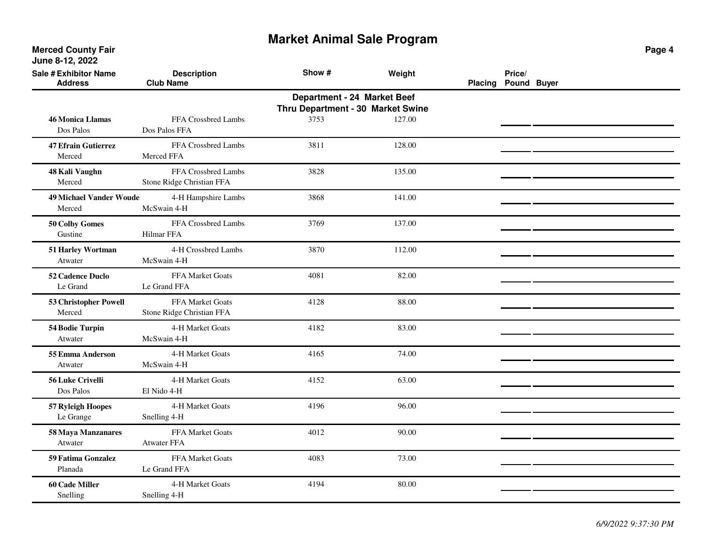**Merced County Fair June 8-12, 2022**

| <b>Sale # Exhibitor Name</b><br><b>Address</b> | <b>Description</b><br><b>Club Name</b>           | Show #                                                           | Weight | Placing | Price/<br>Pound Buyer |  |
|------------------------------------------------|--------------------------------------------------|------------------------------------------------------------------|--------|---------|-----------------------|--|
|                                                |                                                  | Department - 24 Market Beef<br>Thru Department - 30 Market Swine |        |         |                       |  |
| <b>46 Monica Llamas</b><br>Dos Palos           | FFA Crossbred Lambs<br>Dos Palos FFA             | 3753                                                             | 127.00 |         |                       |  |
| <b>47 Efrain Gutierrez</b><br>Merced           | FFA Crossbred Lambs<br>Merced FFA                | 3811                                                             | 128.00 |         |                       |  |
| 48 Kali Vaughn<br>Merced                       | FFA Crossbred Lambs<br>Stone Ridge Christian FFA | 3828                                                             | 135.00 |         |                       |  |
| <b>49 Michael Vander Woude</b><br>Merced       | 4-H Hampshire Lambs<br>McSwain 4-H               | 3868                                                             | 141.00 |         |                       |  |
| 50 Colby Gomes<br>Gustine                      | FFA Crossbred Lambs<br>Hilmar FFA                | 3769                                                             | 137.00 |         |                       |  |
| 51 Harley Wortman<br>Atwater                   | 4-H Crossbred Lambs<br>McSwain 4-H               | 3870                                                             | 112.00 |         |                       |  |
| 52 Cadence Duclo<br>Le Grand                   | FFA Market Goats<br>Le Grand FFA                 | 4081                                                             | 82.00  |         |                       |  |
| 53 Christopher Powell<br>Merced                | FFA Market Goats<br>Stone Ridge Christian FFA    | 4128                                                             | 88.00  |         |                       |  |
| 54 Bodie Turpin<br>Atwater                     | 4-H Market Goats<br>McSwain 4-H                  | 4182                                                             | 83.00  |         |                       |  |
| 55 Emma Anderson<br>Atwater                    | 4-H Market Goats<br>McSwain 4-H                  | 4165                                                             | 74.00  |         |                       |  |
| 56 Luke Crivelli<br>Dos Palos                  | 4-H Market Goats<br>El Nido 4-H                  | 4152                                                             | 63.00  |         |                       |  |
| 57 Ryleigh Hoopes<br>Le Grange                 | 4-H Market Goats<br>Snelling 4-H                 | 4196                                                             | 96.00  |         |                       |  |
| 58 Maya Manzanares<br>Atwater                  | FFA Market Goats<br><b>Atwater FFA</b>           | 4012                                                             | 90.00  |         |                       |  |
| 59 Fatima Gonzalez<br>Planada                  | FFA Market Goats<br>Le Grand FFA                 | 4083                                                             | 73.00  |         |                       |  |
| <b>60 Cade Miller</b><br>Snelling              | 4-H Market Goats<br>Snelling 4-H                 | 4194                                                             | 80.00  |         |                       |  |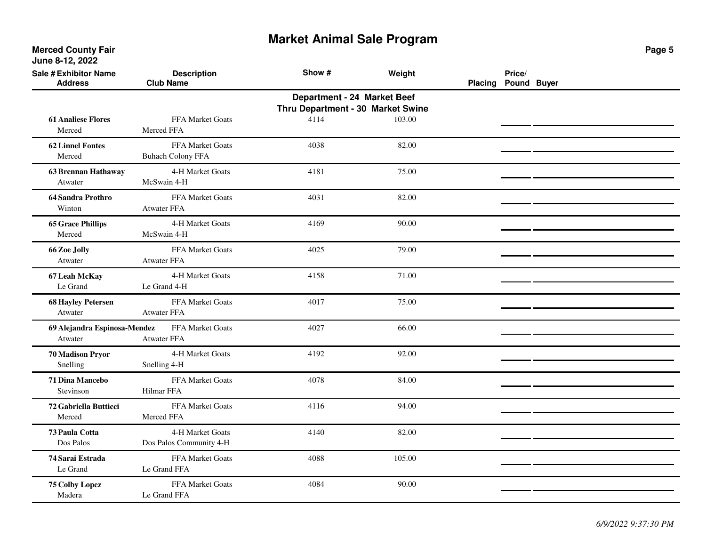**Merced County Fair June 8-12, 2022**

| <b>Sale # Exhibitor Name</b><br><b>Address</b> | <b>Description</b><br><b>Club Name</b>              | Show #                                                           | Weight | <b>Placing</b> | Price/<br>Pound Buyer |  |
|------------------------------------------------|-----------------------------------------------------|------------------------------------------------------------------|--------|----------------|-----------------------|--|
|                                                |                                                     | Department - 24 Market Beef<br>Thru Department - 30 Market Swine |        |                |                       |  |
| <b>61 Analiese Flores</b><br>Merced            | <b>FFA Market Goats</b><br>Merced FFA               | 4114                                                             | 103.00 |                |                       |  |
| <b>62 Linnel Fontes</b><br>Merced              | <b>FFA Market Goats</b><br><b>Buhach Colony FFA</b> | 4038                                                             | 82.00  |                |                       |  |
| <b>63 Brennan Hathaway</b><br>Atwater          | 4-H Market Goats<br>McSwain 4-H                     | 4181                                                             | 75.00  |                |                       |  |
| 64 Sandra Prothro<br>Winton                    | FFA Market Goats<br><b>Atwater FFA</b>              | 4031                                                             | 82.00  |                |                       |  |
| <b>65 Grace Phillips</b><br>Merced             | 4-H Market Goats<br>McSwain 4-H                     | 4169                                                             | 90.00  |                |                       |  |
| 66 Zoe Jolly<br>Atwater                        | FFA Market Goats<br><b>Atwater FFA</b>              | 4025                                                             | 79.00  |                |                       |  |
| 67 Leah McKay<br>Le Grand                      | 4-H Market Goats<br>Le Grand 4-H                    | 4158                                                             | 71.00  |                |                       |  |
| <b>68 Hayley Petersen</b><br>Atwater           | FFA Market Goats<br><b>Atwater FFA</b>              | 4017                                                             | 75.00  |                |                       |  |
| 69 Alejandra Espinosa-Mendez<br>Atwater        | FFA Market Goats<br><b>Atwater FFA</b>              | 4027                                                             | 66.00  |                |                       |  |
| <b>70 Madison Pryor</b><br>Snelling            | 4-H Market Goats<br>Snelling 4-H                    | 4192                                                             | 92.00  |                |                       |  |
| 71 Dina Mancebo<br>Stevinson                   | FFA Market Goats<br>Hilmar FFA                      | 4078                                                             | 84.00  |                |                       |  |
| 72 Gabriella Butticci<br>Merced                | FFA Market Goats<br>Merced FFA                      | 4116                                                             | 94.00  |                |                       |  |
| 73 Paula Cotta<br>Dos Palos                    | 4-H Market Goats<br>Dos Palos Community 4-H         | 4140                                                             | 82.00  |                |                       |  |
| 74 Sarai Estrada<br>Le Grand                   | FFA Market Goats<br>Le Grand FFA                    | 4088                                                             | 105.00 |                |                       |  |
| 75 Colby Lopez<br>Madera                       | FFA Market Goats<br>Le Grand FFA                    | 4084                                                             | 90.00  |                |                       |  |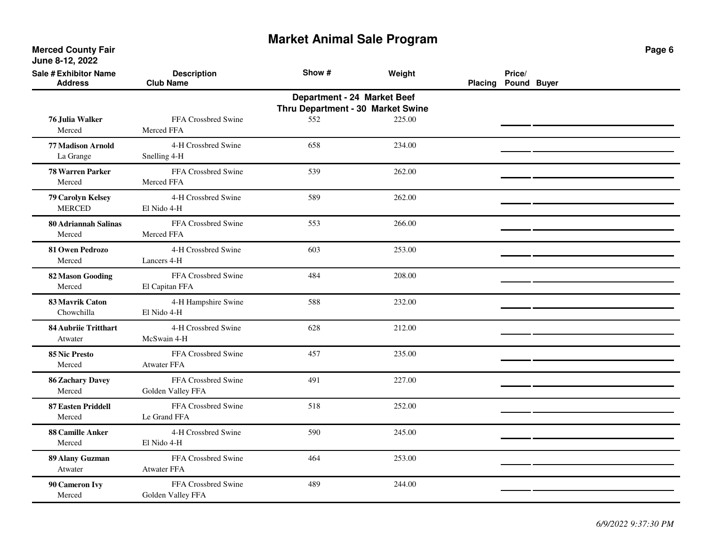**Merced County Fair June 8-12, 2022**

| <b>Sale # Exhibitor Name</b><br><b>Address</b> | <b>Description</b><br><b>Club Name</b>    | Show #                                                           | Weight | <b>Placing</b> | Price/<br>Pound Buyer |  |
|------------------------------------------------|-------------------------------------------|------------------------------------------------------------------|--------|----------------|-----------------------|--|
|                                                |                                           | Department - 24 Market Beef<br>Thru Department - 30 Market Swine |        |                |                       |  |
| 76 Julia Walker<br>Merced                      | FFA Crossbred Swine<br>Merced FFA         | 552                                                              | 225.00 |                |                       |  |
| <b>77 Madison Arnold</b><br>La Grange          | 4-H Crossbred Swine<br>Snelling 4-H       | 658                                                              | 234.00 |                |                       |  |
| <b>78 Warren Parker</b><br>Merced              | FFA Crossbred Swine<br>Merced FFA         | 539                                                              | 262.00 |                |                       |  |
| 79 Carolyn Kelsey<br><b>MERCED</b>             | 4-H Crossbred Swine<br>El Nido 4-H        | 589                                                              | 262.00 |                |                       |  |
| <b>80 Adriannah Salinas</b><br>Merced          | FFA Crossbred Swine<br>Merced FFA         | 553                                                              | 266.00 |                |                       |  |
| 81 Owen Pedrozo<br>Merced                      | 4-H Crossbred Swine<br>Lancers 4-H        | 603                                                              | 253.00 |                |                       |  |
| <b>82 Mason Gooding</b><br>Merced              | FFA Crossbred Swine<br>El Capitan FFA     | 484                                                              | 208.00 |                |                       |  |
| 83 Mavrik Caton<br>Chowchilla                  | 4-H Hampshire Swine<br>El Nido 4-H        | 588                                                              | 232.00 |                |                       |  |
| <b>84 Aubriie Tritthart</b><br>Atwater         | 4-H Crossbred Swine<br>McSwain 4-H        | 628                                                              | 212.00 |                |                       |  |
| 85 Nic Presto<br>Merced                        | FFA Crossbred Swine<br><b>Atwater FFA</b> | 457                                                              | 235.00 |                |                       |  |
| <b>86 Zachary Davey</b><br>Merced              | FFA Crossbred Swine<br>Golden Valley FFA  | 491                                                              | 227.00 |                |                       |  |
| <b>87 Easten Priddell</b><br>Merced            | FFA Crossbred Swine<br>Le Grand FFA       | 518                                                              | 252.00 |                |                       |  |
| <b>88 Camille Anker</b><br>Merced              | 4-H Crossbred Swine<br>El Nido 4-H        | 590                                                              | 245.00 |                |                       |  |
| 89 Alany Guzman<br>Atwater                     | FFA Crossbred Swine<br><b>Atwater FFA</b> | 464                                                              | 253.00 |                |                       |  |
| 90 Cameron Ivy<br>Merced                       | FFA Crossbred Swine<br>Golden Valley FFA  | 489                                                              | 244.00 |                |                       |  |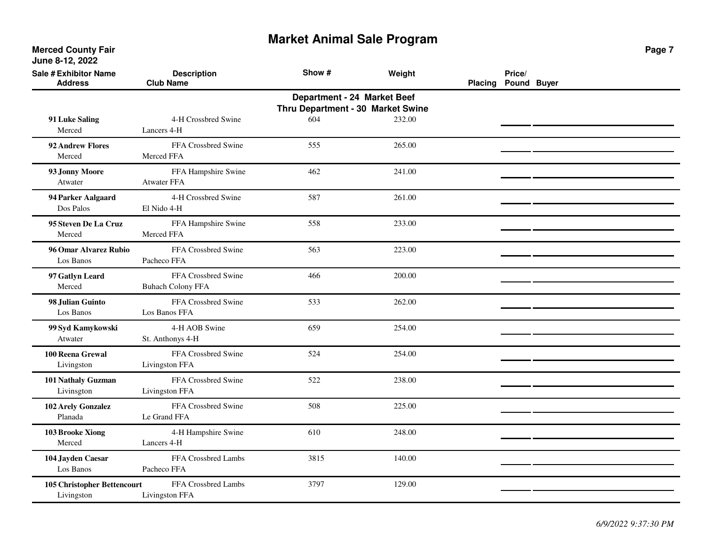**Merced County Fair June 8-12, 2022**

| <b>Sale # Exhibitor Name</b><br><b>Address</b> | <b>Description</b><br><b>Club Name</b>          | Show #                                                           | Weight | Placing Pound Buyer | Price/ |  |
|------------------------------------------------|-------------------------------------------------|------------------------------------------------------------------|--------|---------------------|--------|--|
|                                                |                                                 | Department - 24 Market Beef<br>Thru Department - 30 Market Swine |        |                     |        |  |
| 91 Luke Saling<br>Merced                       | 4-H Crossbred Swine<br>Lancers 4-H              | 604                                                              | 232.00 |                     |        |  |
| 92 Andrew Flores<br>Merced                     | FFA Crossbred Swine<br>Merced FFA               | 555                                                              | 265.00 |                     |        |  |
| 93 Jonny Moore<br>Atwater                      | FFA Hampshire Swine<br><b>Atwater FFA</b>       | 462                                                              | 241.00 |                     |        |  |
| 94 Parker Aalgaard<br>Dos Palos                | 4-H Crossbred Swine<br>El Nido 4-H              | 587                                                              | 261.00 |                     |        |  |
| 95 Steven De La Cruz<br>Merced                 | FFA Hampshire Swine<br>Merced FFA               | 558                                                              | 233.00 |                     |        |  |
| 96 Omar Alvarez Rubio<br>Los Banos             | FFA Crossbred Swine<br>Pacheco FFA              | 563                                                              | 223.00 |                     |        |  |
| 97 Gatlyn Leard<br>Merced                      | FFA Crossbred Swine<br><b>Buhach Colony FFA</b> | 466                                                              | 200.00 |                     |        |  |
| 98 Julian Guinto<br>Los Banos                  | FFA Crossbred Swine<br>Los Banos FFA            | 533                                                              | 262.00 |                     |        |  |
| 99 Syd Kamykowski<br>Atwater                   | 4-H AOB Swine<br>St. Anthonys 4-H               | 659                                                              | 254.00 |                     |        |  |
| 100 Reena Grewal<br>Livingston                 | FFA Crossbred Swine<br>Livingston FFA           | 524                                                              | 254.00 |                     |        |  |
| 101 Nathaly Guzman<br>Livinsgton               | FFA Crossbred Swine<br>Livingston FFA           | 522                                                              | 238.00 |                     |        |  |
| 102 Arely Gonzalez<br>Planada                  | FFA Crossbred Swine<br>Le Grand FFA             | 508                                                              | 225.00 |                     |        |  |
| 103 Brooke Xiong<br>Merced                     | 4-H Hampshire Swine<br>Lancers 4-H              | 610                                                              | 248.00 |                     |        |  |
| 104 Jayden Caesar<br>Los Banos                 | FFA Crossbred Lambs<br>Pacheco FFA              | 3815                                                             | 140.00 |                     |        |  |
| 105 Christopher Bettencourt<br>Livingston      | FFA Crossbred Lambs<br>Livingston FFA           | 3797                                                             | 129.00 |                     |        |  |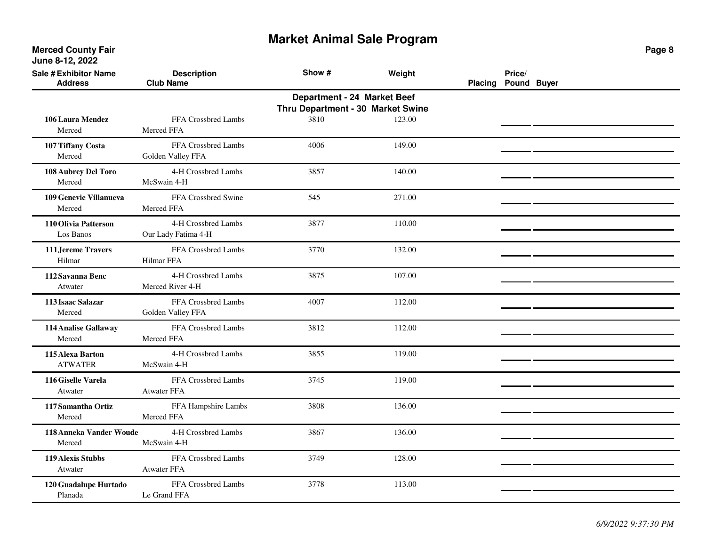**Merced County Fair June 8-12, 2022**

| <b>Sale # Exhibitor Name</b><br><b>Address</b> | <b>Description</b><br><b>Club Name</b>     | Show #                                                           | Weight | <b>Placing</b> | Price/<br>Pound Buyer |  |
|------------------------------------------------|--------------------------------------------|------------------------------------------------------------------|--------|----------------|-----------------------|--|
|                                                |                                            | Department - 24 Market Beef<br>Thru Department - 30 Market Swine |        |                |                       |  |
| 106 Laura Mendez<br>Merced                     | FFA Crossbred Lambs<br>Merced FFA          | 3810                                                             | 123.00 |                |                       |  |
| 107 Tiffany Costa<br>Merced                    | FFA Crossbred Lambs<br>Golden Valley FFA   | 4006                                                             | 149.00 |                |                       |  |
| 108 Aubrey Del Toro<br>Merced                  | 4-H Crossbred Lambs<br>McSwain 4-H         | 3857                                                             | 140.00 |                |                       |  |
| 109 Genevie Villanueva<br>Merced               | FFA Crossbred Swine<br>Merced FFA          | 545                                                              | 271.00 |                |                       |  |
| 110 Olivia Patterson<br>Los Banos              | 4-H Crossbred Lambs<br>Our Lady Fatima 4-H | 3877                                                             | 110.00 |                |                       |  |
| 111 Jereme Travers<br>Hilmar                   | FFA Crossbred Lambs<br>Hilmar FFA          | 3770                                                             | 132.00 |                |                       |  |
| 112 Savanna Benc<br>Atwater                    | 4-H Crossbred Lambs<br>Merced River 4-H    | 3875                                                             | 107.00 |                |                       |  |
| 113 Isaac Salazar<br>Merced                    | FFA Crossbred Lambs<br>Golden Valley FFA   | 4007                                                             | 112.00 |                |                       |  |
| 114 Analise Gallaway<br>Merced                 | FFA Crossbred Lambs<br>Merced FFA          | 3812                                                             | 112.00 |                |                       |  |
| 115 Alexa Barton<br><b>ATWATER</b>             | 4-H Crossbred Lambs<br>McSwain 4-H         | 3855                                                             | 119.00 |                |                       |  |
| 116 Giselle Varela<br>Atwater                  | FFA Crossbred Lambs<br><b>Atwater FFA</b>  | 3745                                                             | 119.00 |                |                       |  |
| 117 Samantha Ortiz<br>Merced                   | FFA Hampshire Lambs<br>Merced FFA          | 3808                                                             | 136.00 |                |                       |  |
| 118 Anneka Vander Woude<br>Merced              | 4-H Crossbred Lambs<br>McSwain 4-H         | 3867                                                             | 136.00 |                |                       |  |
| 119 Alexis Stubbs<br>Atwater                   | FFA Crossbred Lambs<br><b>Atwater FFA</b>  | 3749                                                             | 128.00 |                |                       |  |
| 120 Guadalupe Hurtado<br>Planada               | FFA Crossbred Lambs<br>Le Grand FFA        | 3778                                                             | 113.00 |                |                       |  |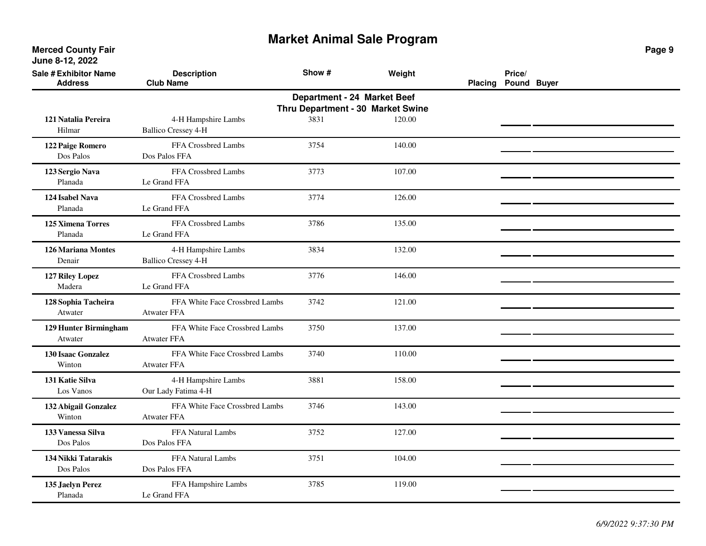| <b>Sale # Exhibitor Name</b><br><b>Address</b>                   | <b>Description</b><br><b>Club Name</b>               | Show # | Weight | <b>Placing</b> | Price/<br>Pound Buyer |  |  |  |  |
|------------------------------------------------------------------|------------------------------------------------------|--------|--------|----------------|-----------------------|--|--|--|--|
| Department - 24 Market Beef<br>Thru Department - 30 Market Swine |                                                      |        |        |                |                       |  |  |  |  |
| 121 Natalia Pereira<br>Hilmar                                    | 4-H Hampshire Lambs<br><b>Ballico Cressey 4-H</b>    | 3831   | 120.00 |                |                       |  |  |  |  |
| 122 Paige Romero<br>Dos Palos                                    | FFA Crossbred Lambs<br>Dos Palos FFA                 | 3754   | 140.00 |                |                       |  |  |  |  |
| 123 Sergio Nava<br>Planada                                       | FFA Crossbred Lambs<br>Le Grand FFA                  | 3773   | 107.00 |                |                       |  |  |  |  |
| 124 Isabel Nava<br>Planada                                       | FFA Crossbred Lambs<br>Le Grand FFA                  | 3774   | 126.00 |                |                       |  |  |  |  |
| <b>125 Ximena Torres</b><br>Planada                              | FFA Crossbred Lambs<br>Le Grand FFA                  | 3786   | 135.00 |                |                       |  |  |  |  |
| 126 Mariana Montes<br>Denair                                     | 4-H Hampshire Lambs<br><b>Ballico Cressey 4-H</b>    | 3834   | 132.00 |                |                       |  |  |  |  |
| 127 Riley Lopez<br>Madera                                        | FFA Crossbred Lambs<br>Le Grand FFA                  | 3776   | 146.00 |                |                       |  |  |  |  |
| 128 Sophia Tacheira<br>Atwater                                   | FFA White Face Crossbred Lambs<br><b>Atwater FFA</b> | 3742   | 121.00 |                |                       |  |  |  |  |
| 129 Hunter Birmingham<br>Atwater                                 | FFA White Face Crossbred Lambs<br><b>Atwater FFA</b> | 3750   | 137.00 |                |                       |  |  |  |  |
| <b>130 Isaac Gonzalez</b><br>Winton                              | FFA White Face Crossbred Lambs<br><b>Atwater FFA</b> | 3740   | 110.00 |                |                       |  |  |  |  |
| 131 Katie Silva<br>Los Vanos                                     | 4-H Hampshire Lambs<br>Our Lady Fatima 4-H           | 3881   | 158.00 |                |                       |  |  |  |  |
| 132 Abigail Gonzalez<br>Winton                                   | FFA White Face Crossbred Lambs<br><b>Atwater FFA</b> | 3746   | 143.00 |                |                       |  |  |  |  |
| 133 Vanessa Silva<br>Dos Palos                                   | FFA Natural Lambs<br>Dos Palos FFA                   | 3752   | 127.00 |                |                       |  |  |  |  |
| 134 Nikki Tatarakis<br>Dos Palos                                 | FFA Natural Lambs<br>Dos Palos FFA                   | 3751   | 104.00 |                |                       |  |  |  |  |
| 135 Jaelyn Perez<br>Planada                                      | FFA Hampshire Lambs<br>Le Grand FFA                  | 3785   | 119.00 |                |                       |  |  |  |  |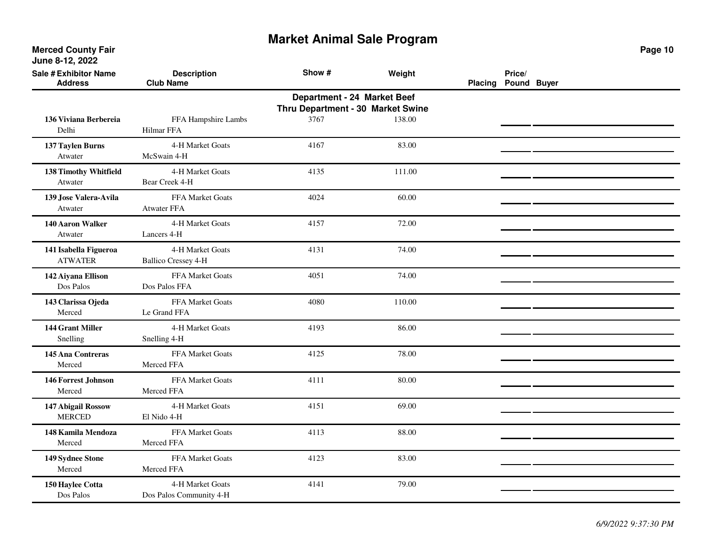| <b>Sale # Exhibitor Name</b><br><b>Address</b> | <b>Description</b><br><b>Club Name</b>         | Show #                                                           | Weight | Placing | Price/<br>Pound Buyer |  |
|------------------------------------------------|------------------------------------------------|------------------------------------------------------------------|--------|---------|-----------------------|--|
|                                                |                                                | Department - 24 Market Beef<br>Thru Department - 30 Market Swine |        |         |                       |  |
| 136 Viviana Berbereia<br>Delhi                 | FFA Hampshire Lambs<br><b>Hilmar FFA</b>       | 3767                                                             | 138.00 |         |                       |  |
| 137 Taylen Burns<br>Atwater                    | 4-H Market Goats<br>McSwain 4-H                | 4167                                                             | 83.00  |         |                       |  |
| 138 Timothy Whitfield<br>Atwater               | 4-H Market Goats<br>Bear Creek 4-H             | 4135                                                             | 111.00 |         |                       |  |
| 139 Jose Valera-Avila<br>Atwater               | <b>FFA Market Goats</b><br><b>Atwater FFA</b>  | 4024                                                             | 60.00  |         |                       |  |
| 140 Aaron Walker<br>Atwater                    | 4-H Market Goats<br>Lancers 4-H                | 4157                                                             | 72.00  |         |                       |  |
| 141 Isabella Figueroa<br><b>ATWATER</b>        | 4-H Market Goats<br><b>Ballico Cressey 4-H</b> | 4131                                                             | 74.00  |         |                       |  |
| 142 Aiyana Ellison<br>Dos Palos                | FFA Market Goats<br>Dos Palos FFA              | 4051                                                             | 74.00  |         |                       |  |
| 143 Clarissa Ojeda<br>Merced                   | FFA Market Goats<br>Le Grand FFA               | 4080                                                             | 110.00 |         |                       |  |
| 144 Grant Miller<br>Snelling                   | 4-H Market Goats<br>Snelling 4-H               | 4193                                                             | 86.00  |         |                       |  |
| 145 Ana Contreras<br>Merced                    | FFA Market Goats<br>Merced FFA                 | 4125                                                             | 78.00  |         |                       |  |
| 146 Forrest Johnson<br>Merced                  | FFA Market Goats<br>Merced FFA                 | 4111                                                             | 80.00  |         |                       |  |
| 147 Abigail Rossow<br><b>MERCED</b>            | 4-H Market Goats<br>El Nido 4-H                | 4151                                                             | 69.00  |         |                       |  |
| 148 Kamila Mendoza<br>Merced                   | <b>FFA Market Goats</b><br>Merced FFA          | 4113                                                             | 88.00  |         |                       |  |
| 149 Sydnee Stone<br>Merced                     | FFA Market Goats<br>Merced FFA                 | 4123                                                             | 83.00  |         |                       |  |
| 150 Haylee Cotta<br>Dos Palos                  | 4-H Market Goats<br>Dos Palos Community 4-H    | 4141                                                             | 79.00  |         |                       |  |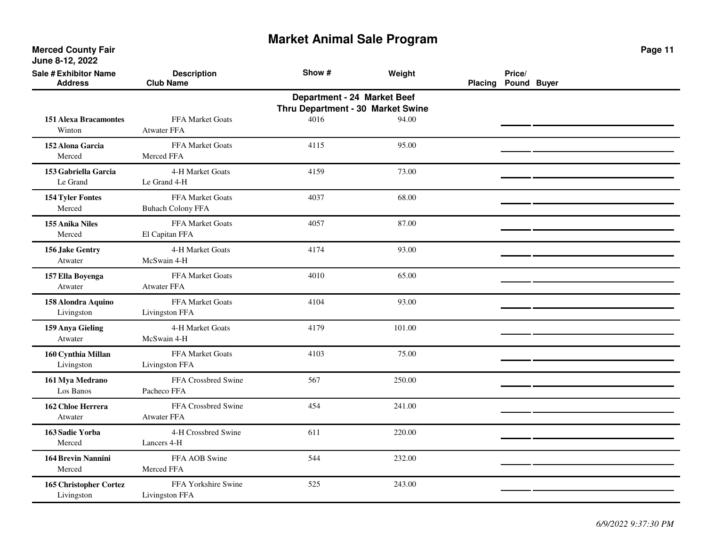| <b>Sale # Exhibitor Name</b><br><b>Address</b> | <b>Description</b><br><b>Club Name</b>              | Show #                                                           | Weight | <b>Placing</b> | Price/<br>Pound Buyer |  |
|------------------------------------------------|-----------------------------------------------------|------------------------------------------------------------------|--------|----------------|-----------------------|--|
|                                                |                                                     | Department - 24 Market Beef<br>Thru Department - 30 Market Swine |        |                |                       |  |
| <b>151 Alexa Bracamontes</b><br>Winton         | FFA Market Goats<br><b>Atwater FFA</b>              | 4016                                                             | 94.00  |                |                       |  |
| 152 Alona Garcia<br>Merced                     | FFA Market Goats<br>Merced FFA                      | 4115                                                             | 95.00  |                |                       |  |
| 153 Gabriella Garcia<br>Le Grand               | 4-H Market Goats<br>Le Grand 4-H                    | 4159                                                             | 73.00  |                |                       |  |
| 154 Tyler Fontes<br>Merced                     | <b>FFA Market Goats</b><br><b>Buhach Colony FFA</b> | 4037                                                             | 68.00  |                |                       |  |
| 155 Anika Niles<br>Merced                      | FFA Market Goats<br>El Capitan FFA                  | 4057                                                             | 87.00  |                |                       |  |
| 156 Jake Gentry<br>Atwater                     | 4-H Market Goats<br>McSwain 4-H                     | 4174                                                             | 93.00  |                |                       |  |
| 157 Ella Boyenga<br>Atwater                    | FFA Market Goats<br><b>Atwater FFA</b>              | 4010                                                             | 65.00  |                |                       |  |
| 158 Alondra Aquino<br>Livingston               | <b>FFA Market Goats</b><br>Livingston FFA           | 4104                                                             | 93.00  |                |                       |  |
| 159 Anya Gieling<br>Atwater                    | 4-H Market Goats<br>McSwain 4-H                     | 4179                                                             | 101.00 |                |                       |  |
| 160 Cynthia Millan<br>Livingston               | FFA Market Goats<br>Livingston FFA                  | 4103                                                             | 75.00  |                |                       |  |
| 161 Mya Medrano<br>Los Banos                   | FFA Crossbred Swine<br>Pacheco FFA                  | 567                                                              | 250.00 |                |                       |  |
| 162 Chloe Herrera<br>Atwater                   | FFA Crossbred Swine<br>Atwater FFA                  | 454                                                              | 241.00 |                |                       |  |
| 163 Sadie Yorba<br>Merced                      | 4-H Crossbred Swine<br>Lancers 4-H                  | 611                                                              | 220.00 |                |                       |  |
| 164 Brevin Nannini<br>Merced                   | FFA AOB Swine<br>Merced FFA                         | 544                                                              | 232.00 |                |                       |  |
| 165 Christopher Cortez<br>Livingston           | FFA Yorkshire Swine<br>Livingston FFA               | 525                                                              | 243.00 |                |                       |  |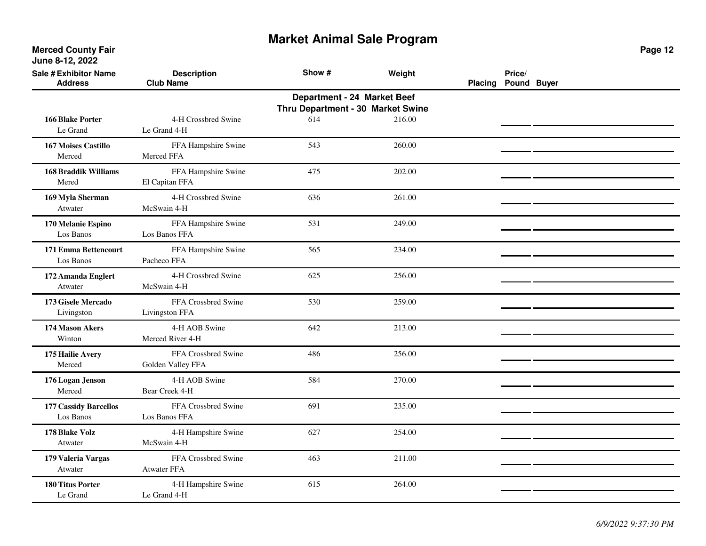| <b>Sale # Exhibitor Name</b><br><b>Address</b> | <b>Description</b><br><b>Club Name</b>    | Show #                                                           | Weight | <b>Placing</b> | Price/<br>Pound Buyer |  |
|------------------------------------------------|-------------------------------------------|------------------------------------------------------------------|--------|----------------|-----------------------|--|
|                                                |                                           | Department - 24 Market Beef<br>Thru Department - 30 Market Swine |        |                |                       |  |
| <b>166 Blake Porter</b><br>Le Grand            | 4-H Crossbred Swine<br>Le Grand 4-H       | 614                                                              | 216.00 |                |                       |  |
| <b>167 Moises Castillo</b><br>Merced           | FFA Hampshire Swine<br>Merced FFA         | 543                                                              | 260.00 |                |                       |  |
| <b>168 Braddik Williams</b><br>Mered           | FFA Hampshire Swine<br>El Capitan FFA     | 475                                                              | 202.00 |                |                       |  |
| 169 Myla Sherman<br>Atwater                    | 4-H Crossbred Swine<br>McSwain 4-H        | 636                                                              | 261.00 |                |                       |  |
| 170 Melanie Espino<br>Los Banos                | FFA Hampshire Swine<br>Los Banos FFA      | 531                                                              | 249.00 |                |                       |  |
| 171 Emma Bettencourt<br>Los Banos              | FFA Hampshire Swine<br>Pacheco FFA        | 565                                                              | 234.00 |                |                       |  |
| 172 Amanda Englert<br>Atwater                  | 4-H Crossbred Swine<br>McSwain 4-H        | 625                                                              | 256.00 |                |                       |  |
| 173 Gisele Mercado<br>Livingston               | FFA Crossbred Swine<br>Livingston FFA     | 530                                                              | 259.00 |                |                       |  |
| 174 Mason Akers<br>Winton                      | 4-H AOB Swine<br>Merced River 4-H         | 642                                                              | 213.00 |                |                       |  |
| 175 Hailie Avery<br>Merced                     | FFA Crossbred Swine<br>Golden Valley FFA  | 486                                                              | 256.00 |                |                       |  |
| 176 Logan Jenson<br>Merced                     | 4-H AOB Swine<br>Bear Creek 4-H           | 584                                                              | 270.00 |                |                       |  |
| <b>177 Cassidy Barcellos</b><br>Los Banos      | FFA Crossbred Swine<br>Los Banos FFA      | 691                                                              | 235.00 |                |                       |  |
| 178 Blake Volz<br>Atwater                      | 4-H Hampshire Swine<br>McSwain 4-H        | 627                                                              | 254.00 |                |                       |  |
| 179 Valeria Vargas<br>Atwater                  | FFA Crossbred Swine<br><b>Atwater FFA</b> | 463                                                              | 211.00 |                |                       |  |
| <b>180 Titus Porter</b><br>Le Grand            | 4-H Hampshire Swine<br>Le Grand 4-H       | 615                                                              | 264.00 |                |                       |  |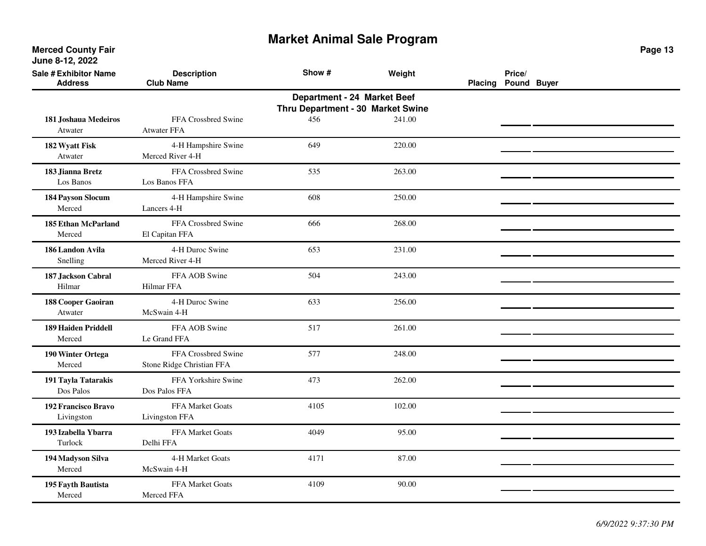| <b>Sale # Exhibitor Name</b><br><b>Address</b> | <b>Description</b><br><b>Club Name</b>           | Show #                                                           | Weight | Placing | Price/<br>Pound Buyer |  |
|------------------------------------------------|--------------------------------------------------|------------------------------------------------------------------|--------|---------|-----------------------|--|
|                                                |                                                  | Department - 24 Market Beef<br>Thru Department - 30 Market Swine |        |         |                       |  |
| 181 Joshaua Medeiros<br>Atwater                | FFA Crossbred Swine<br><b>Atwater FFA</b>        | 456                                                              | 241.00 |         |                       |  |
| 182 Wyatt Fisk<br>Atwater                      | 4-H Hampshire Swine<br>Merced River 4-H          | 649                                                              | 220.00 |         |                       |  |
| 183 Jianna Bretz<br>Los Banos                  | FFA Crossbred Swine<br>Los Banos FFA             | 535                                                              | 263.00 |         |                       |  |
| 184 Payson Slocum<br>Merced                    | 4-H Hampshire Swine<br>Lancers 4-H               | 608                                                              | 250.00 |         |                       |  |
| <b>185 Ethan McParland</b><br>Merced           | FFA Crossbred Swine<br>El Capitan FFA            | 666                                                              | 268.00 |         |                       |  |
| 186 Landon Avila<br>Snelling                   | 4-H Duroc Swine<br>Merced River 4-H              | 653                                                              | 231.00 |         |                       |  |
| 187 Jackson Cabral<br>Hilmar                   | FFA AOB Swine<br><b>Hilmar FFA</b>               | 504                                                              | 243.00 |         |                       |  |
| 188 Cooper Gaoiran<br>Atwater                  | 4-H Duroc Swine<br>McSwain 4-H                   | 633                                                              | 256.00 |         |                       |  |
| <b>189 Haiden Priddell</b><br>Merced           | FFA AOB Swine<br>Le Grand FFA                    | 517                                                              | 261.00 |         |                       |  |
| 190 Winter Ortega<br>Merced                    | FFA Crossbred Swine<br>Stone Ridge Christian FFA | 577                                                              | 248.00 |         |                       |  |
| 191 Tayla Tatarakis<br>Dos Palos               | FFA Yorkshire Swine<br>Dos Palos FFA             | 473                                                              | 262.00 |         |                       |  |
| 192 Francisco Bravo<br>Livingston              | <b>FFA Market Goats</b><br>Livingston FFA        | 4105                                                             | 102.00 |         |                       |  |
| 193 Izabella Ybarra<br>Turlock                 | FFA Market Goats<br>Delhi FFA                    | 4049                                                             | 95.00  |         |                       |  |
| 194 Madyson Silva<br>Merced                    | 4-H Market Goats<br>McSwain 4-H                  | 4171                                                             | 87.00  |         |                       |  |
| 195 Fayth Bautista<br>Merced                   | FFA Market Goats<br>Merced FFA                   | 4109                                                             | 90.00  |         |                       |  |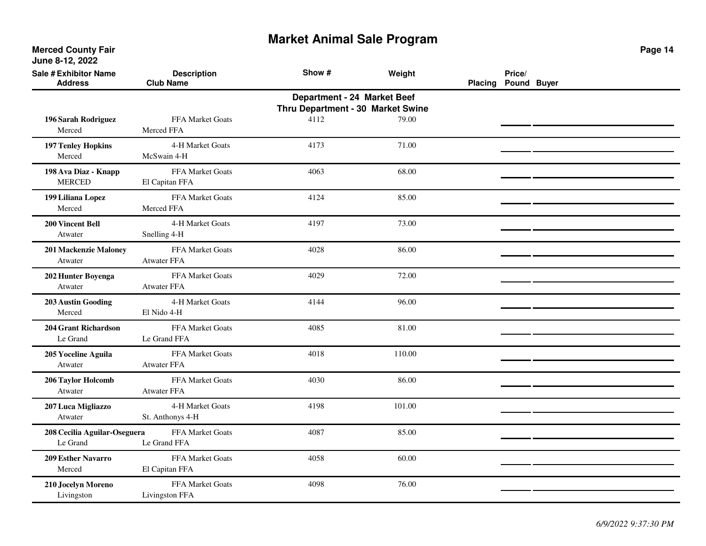**Merced County Fair June 8-12, 2022**

| <b>Sale # Exhibitor Name</b><br><b>Address</b> | <b>Description</b><br><b>Club Name</b> | Show #                            | Weight | <b>Placing</b> | Price/<br>Pound Buyer |  |
|------------------------------------------------|----------------------------------------|-----------------------------------|--------|----------------|-----------------------|--|
|                                                |                                        | Department - 24 Market Beef       |        |                |                       |  |
|                                                |                                        | Thru Department - 30 Market Swine |        |                |                       |  |
| 196 Sarah Rodriguez                            | FFA Market Goats                       | 4112                              | 79.00  |                |                       |  |
| Merced                                         | Merced FFA                             |                                   |        |                |                       |  |
| <b>197 Tenley Hopkins</b>                      | 4-H Market Goats                       | 4173                              | 71.00  |                |                       |  |
| Merced                                         | McSwain 4-H                            |                                   |        |                |                       |  |
| 198 Ava Diaz - Knapp                           | FFA Market Goats                       | 4063                              | 68.00  |                |                       |  |
| <b>MERCED</b>                                  | El Capitan FFA                         |                                   |        |                |                       |  |
| 199 Liliana Lopez                              | FFA Market Goats                       | 4124                              | 85.00  |                |                       |  |
| Merced                                         | Merced FFA                             |                                   |        |                |                       |  |
| <b>200 Vincent Bell</b>                        | 4-H Market Goats                       | 4197                              | 73.00  |                |                       |  |
| Atwater                                        | Snelling 4-H                           |                                   |        |                |                       |  |
| 201 Mackenzie Maloney                          | FFA Market Goats                       | 4028                              | 86.00  |                |                       |  |
| Atwater                                        | <b>Atwater FFA</b>                     |                                   |        |                |                       |  |
| 202 Hunter Boyenga                             | FFA Market Goats                       | 4029                              | 72.00  |                |                       |  |
| Atwater                                        | <b>Atwater FFA</b>                     |                                   |        |                |                       |  |
| <b>203 Austin Gooding</b>                      | 4-H Market Goats                       | 4144                              | 96.00  |                |                       |  |
| Merced                                         | El Nido 4-H                            |                                   |        |                |                       |  |
| <b>204 Grant Richardson</b>                    | FFA Market Goats                       | 4085                              | 81.00  |                |                       |  |
| Le Grand                                       | Le Grand FFA                           |                                   |        |                |                       |  |
| 205 Yoceline Aguila                            | FFA Market Goats                       | 4018                              | 110.00 |                |                       |  |
| Atwater                                        | <b>Atwater FFA</b>                     |                                   |        |                |                       |  |
| 206 Taylor Holcomb                             | FFA Market Goats                       | 4030                              | 86.00  |                |                       |  |
| Atwater                                        | <b>Atwater FFA</b>                     |                                   |        |                |                       |  |
| 207 Luca Migliazzo                             | 4-H Market Goats                       | 4198                              | 101.00 |                |                       |  |
| Atwater                                        | St. Anthonys 4-H                       |                                   |        |                |                       |  |
| 208 Cecilia Aguilar-Oseguera                   | FFA Market Goats                       | 4087                              | 85.00  |                |                       |  |
| Le Grand                                       | Le Grand FFA                           |                                   |        |                |                       |  |
| <b>209 Esther Navarro</b>                      | FFA Market Goats                       | 4058                              | 60.00  |                |                       |  |
| Merced                                         | El Capitan FFA                         |                                   |        |                |                       |  |
| 210 Jocelyn Moreno                             | FFA Market Goats                       | 4098                              | 76.00  |                |                       |  |
| Livingston                                     | Livingston FFA                         |                                   |        |                |                       |  |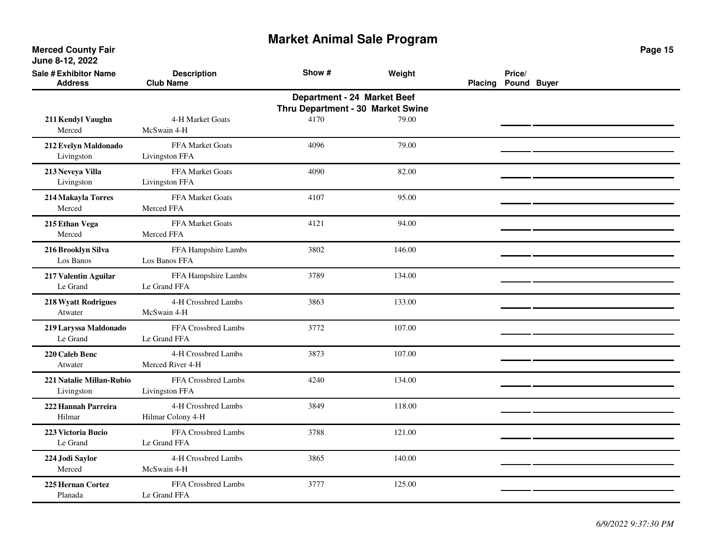**Merced County Fair June 8-12, 2022**

| <b>Sale # Exhibitor Name</b><br><b>Address</b> | <b>Description</b><br><b>Club Name</b>   | Show #                                                           | Weight | <b>Placing</b> | Price/<br>Pound Buyer |  |
|------------------------------------------------|------------------------------------------|------------------------------------------------------------------|--------|----------------|-----------------------|--|
|                                                |                                          | Department - 24 Market Beef<br>Thru Department - 30 Market Swine |        |                |                       |  |
| 211 Kendyl Vaughn<br>Merced                    | 4-H Market Goats<br>McSwain 4-H          | 4170                                                             | 79.00  |                |                       |  |
| 212 Evelyn Maldonado<br>Livingston             | FFA Market Goats<br>Livingston FFA       | 4096                                                             | 79.00  |                |                       |  |
| 213 Neveya Villa<br>Livingston                 | FFA Market Goats<br>Livingston FFA       | 4090                                                             | 82.00  |                |                       |  |
| 214 Makayla Torres<br>Merced                   | FFA Market Goats<br>Merced FFA           | 4107                                                             | 95.00  |                |                       |  |
| 215 Ethan Vega<br>Merced                       | <b>FFA Market Goats</b><br>Merced FFA    | 4121                                                             | 94.00  |                |                       |  |
| 216 Brooklyn Silva<br>Los Banos                | FFA Hampshire Lambs<br>Los Banos FFA     | 3802                                                             | 146.00 |                |                       |  |
| 217 Valentin Aguilar<br>Le Grand               | FFA Hampshire Lambs<br>Le Grand FFA      | 3789                                                             | 134.00 |                |                       |  |
| <b>218 Wyatt Rodrigues</b><br>Atwater          | 4-H Crossbred Lambs<br>McSwain 4-H       | 3863                                                             | 133.00 |                |                       |  |
| 219 Laryssa Maldonado<br>Le Grand              | FFA Crossbred Lambs<br>Le Grand FFA      | 3772                                                             | 107.00 |                |                       |  |
| 220 Caleb Benc<br>Atwater                      | 4-H Crossbred Lambs<br>Merced River 4-H  | 3873                                                             | 107.00 |                |                       |  |
| 221 Natalie Millan-Rubio<br>Livingston         | FFA Crossbred Lambs<br>Livingston FFA    | 4240                                                             | 134.00 |                |                       |  |
| 222 Hannah Parreira<br>Hilmar                  | 4-H Crossbred Lambs<br>Hilmar Colony 4-H | 3849                                                             | 118.00 |                |                       |  |
| 223 Victoria Bucio<br>Le Grand                 | FFA Crossbred Lambs<br>Le Grand FFA      | 3788                                                             | 121.00 |                |                       |  |
| 224 Jodi Saylor<br>Merced                      | 4-H Crossbred Lambs<br>McSwain 4-H       | 3865                                                             | 140.00 |                |                       |  |
| 225 Hernan Cortez<br>Planada                   | FFA Crossbred Lambs<br>Le Grand FFA      | 3777                                                             | 125.00 |                |                       |  |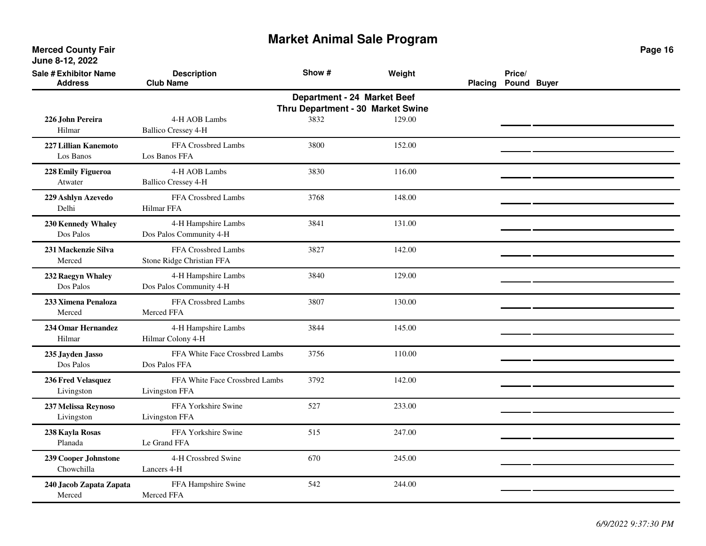| <b>Sale # Exhibitor Name</b><br><b>Address</b> | <b>Description</b><br><b>Club Name</b>           | Show #                      | Weight                            | <b>Placing</b> | Price/<br>Pound Buyer |  |
|------------------------------------------------|--------------------------------------------------|-----------------------------|-----------------------------------|----------------|-----------------------|--|
|                                                |                                                  | Department - 24 Market Beef | Thru Department - 30 Market Swine |                |                       |  |
| 226 John Pereira<br>Hilmar                     | 4-H AOB Lambs<br><b>Ballico Cressey 4-H</b>      | 3832                        | 129.00                            |                |                       |  |
| 227 Lillian Kanemoto<br>Los Banos              | FFA Crossbred Lambs<br>Los Banos FFA             | 3800                        | 152.00                            |                |                       |  |
| 228 Emily Figueroa<br>Atwater                  | 4-H AOB Lambs<br><b>Ballico Cressey 4-H</b>      | 3830                        | 116.00                            |                |                       |  |
| 229 Ashlyn Azevedo<br>Delhi                    | FFA Crossbred Lambs<br>Hilmar FFA                | 3768                        | 148.00                            |                |                       |  |
| 230 Kennedy Whaley<br>Dos Palos                | 4-H Hampshire Lambs<br>Dos Palos Community 4-H   | 3841                        | 131.00                            |                |                       |  |
| 231 Mackenzie Silva<br>Merced                  | FFA Crossbred Lambs<br>Stone Ridge Christian FFA | 3827                        | 142.00                            |                |                       |  |
| 232 Raegyn Whaley<br>Dos Palos                 | 4-H Hampshire Lambs<br>Dos Palos Community 4-H   | 3840                        | 129.00                            |                |                       |  |
| 233 Ximena Penaloza<br>Merced                  | FFA Crossbred Lambs<br>Merced FFA                | 3807                        | 130.00                            |                |                       |  |
| 234 Omar Hernandez<br>Hilmar                   | 4-H Hampshire Lambs<br>Hilmar Colony 4-H         | 3844                        | 145.00                            |                |                       |  |
| 235 Jayden Jasso<br>Dos Palos                  | FFA White Face Crossbred Lambs<br>Dos Palos FFA  | 3756                        | 110.00                            |                |                       |  |
| 236 Fred Velasquez<br>Livingston               | FFA White Face Crossbred Lambs<br>Livingston FFA | 3792                        | 142.00                            |                |                       |  |
| 237 Melissa Reynoso<br>Livingston              | FFA Yorkshire Swine<br>Livingston FFA            | 527                         | 233.00                            |                |                       |  |
| 238 Kayla Rosas<br>Planada                     | FFA Yorkshire Swine<br>Le Grand FFA              | 515                         | 247.00                            |                |                       |  |
| 239 Cooper Johnstone<br>Chowchilla             | 4-H Crossbred Swine<br>Lancers 4-H               | 670                         | 245.00                            |                |                       |  |
| 240 Jacob Zapata Zapata<br>Merced              | FFA Hampshire Swine<br>Merced FFA                | 542                         | 244.00                            |                |                       |  |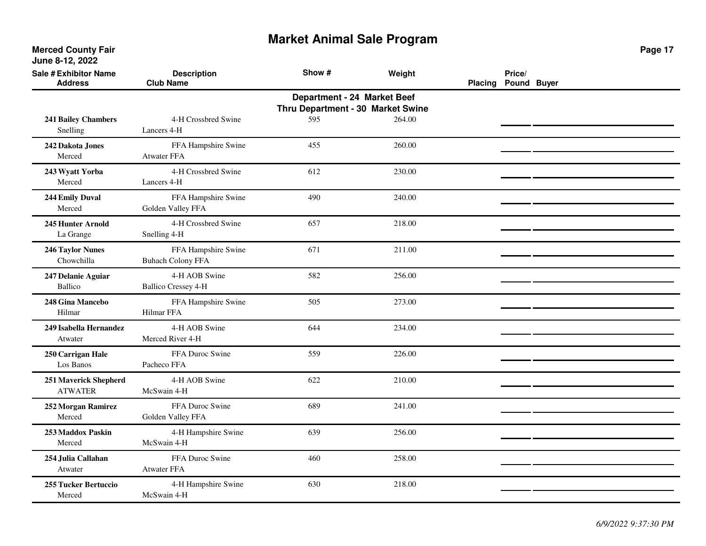| <b>Sale # Exhibitor Name</b><br><b>Address</b> | <b>Description</b><br><b>Club Name</b>          | Show #                                                           | Weight | Placing Pound Buyer | Price/ |  |
|------------------------------------------------|-------------------------------------------------|------------------------------------------------------------------|--------|---------------------|--------|--|
|                                                |                                                 | Department - 24 Market Beef<br>Thru Department - 30 Market Swine |        |                     |        |  |
| <b>241 Bailey Chambers</b><br>Snelling         | 4-H Crossbred Swine<br>Lancers 4-H              | 595                                                              | 264.00 |                     |        |  |
| 242 Dakota Jones<br>Merced                     | FFA Hampshire Swine<br><b>Atwater FFA</b>       | 455                                                              | 260.00 |                     |        |  |
| 243 Wyatt Yorba<br>Merced                      | 4-H Crossbred Swine<br>Lancers 4-H              | 612                                                              | 230.00 |                     |        |  |
| 244 Emily Duval<br>Merced                      | FFA Hampshire Swine<br>Golden Valley FFA        | 490                                                              | 240.00 |                     |        |  |
| 245 Hunter Arnold<br>La Grange                 | 4-H Crossbred Swine<br>Snelling 4-H             | 657                                                              | 218.00 |                     |        |  |
| 246 Taylor Nunes<br>Chowchilla                 | FFA Hampshire Swine<br><b>Buhach Colony FFA</b> | 671                                                              | 211.00 |                     |        |  |
| 247 Delanie Aguiar<br><b>Ballico</b>           | 4-H AOB Swine<br><b>Ballico Cressey 4-H</b>     | 582                                                              | 256.00 |                     |        |  |
| 248 Gina Mancebo<br>Hilmar                     | FFA Hampshire Swine<br>Hilmar FFA               | 505                                                              | 273.00 |                     |        |  |
| 249 Isabella Hernandez<br>Atwater              | 4-H AOB Swine<br>Merced River 4-H               | 644                                                              | 234.00 |                     |        |  |
| 250 Carrigan Hale<br>Los Banos                 | FFA Duroc Swine<br>Pacheco FFA                  | 559                                                              | 226.00 |                     |        |  |
| 251 Maverick Shepherd<br><b>ATWATER</b>        | 4-H AOB Swine<br>McSwain 4-H                    | 622                                                              | 210.00 |                     |        |  |
| 252 Morgan Ramirez<br>Merced                   | FFA Duroc Swine<br>Golden Valley FFA            | 689                                                              | 241.00 |                     |        |  |
| 253 Maddox Paskin<br>Merced                    | 4-H Hampshire Swine<br>McSwain 4-H              | 639                                                              | 256.00 |                     |        |  |
| 254 Julia Callahan<br>Atwater                  | FFA Duroc Swine<br><b>Atwater FFA</b>           | 460                                                              | 258.00 |                     |        |  |
| <b>255 Tucker Bertuccio</b><br>Merced          | 4-H Hampshire Swine<br>McSwain 4-H              | 630                                                              | 218.00 |                     |        |  |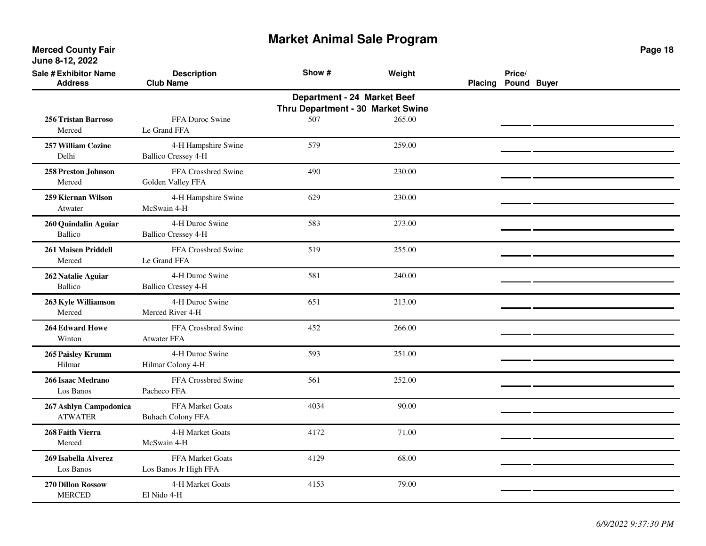**Merced County Fair June 8-12, 2022**

| <b>Sale # Exhibitor Name</b><br><b>Address</b> | <b>Description</b><br><b>Club Name</b>            | Show #                                                           | Weight | <b>Placing</b> | Price/<br>Pound Buyer |  |
|------------------------------------------------|---------------------------------------------------|------------------------------------------------------------------|--------|----------------|-----------------------|--|
|                                                |                                                   | Department - 24 Market Beef<br>Thru Department - 30 Market Swine |        |                |                       |  |
| <b>256 Tristan Barroso</b><br>Merced           | FFA Duroc Swine<br>Le Grand FFA                   | 507                                                              | 265.00 |                |                       |  |
| 257 William Cozine<br>Delhi                    | 4-H Hampshire Swine<br><b>Ballico Cressey 4-H</b> | 579                                                              | 259.00 |                |                       |  |
| 258 Preston Johnson<br>Merced                  | FFA Crossbred Swine<br>Golden Valley FFA          | 490                                                              | 230.00 |                |                       |  |
| 259 Kiernan Wilson<br>Atwater                  | 4-H Hampshire Swine<br>McSwain 4-H                | 629                                                              | 230.00 |                |                       |  |
| 260 Quindalin Aguiar<br><b>Ballico</b>         | 4-H Duroc Swine<br><b>Ballico Cressey 4-H</b>     | 583                                                              | 273.00 |                |                       |  |
| <b>261 Maisen Priddell</b><br>Merced           | FFA Crossbred Swine<br>Le Grand FFA               | 519                                                              | 255.00 |                |                       |  |
| 262 Natalie Aguiar<br><b>Ballico</b>           | 4-H Duroc Swine<br><b>Ballico Cressey 4-H</b>     | 581                                                              | 240.00 |                |                       |  |
| 263 Kyle Williamson<br>Merced                  | 4-H Duroc Swine<br>Merced River 4-H               | 651                                                              | 213.00 |                |                       |  |
| <b>264 Edward Howe</b><br>Winton               | FFA Crossbred Swine<br><b>Atwater FFA</b>         | 452                                                              | 266.00 |                |                       |  |
| 265 Paisley Krumm<br>Hilmar                    | 4-H Duroc Swine<br>Hilmar Colony 4-H              | 593                                                              | 251.00 |                |                       |  |
| 266 Isaac Medrano<br>Los Banos                 | FFA Crossbred Swine<br>Pacheco FFA                | 561                                                              | 252.00 |                |                       |  |
| 267 Ashlyn Campodonica<br><b>ATWATER</b>       | FFA Market Goats<br><b>Buhach Colony FFA</b>      | 4034                                                             | 90.00  |                |                       |  |
| 268 Faith Vierra<br>Merced                     | 4-H Market Goats<br>McSwain 4-H                   | 4172                                                             | 71.00  |                |                       |  |
| 269 Isabella Alverez<br>Los Banos              | FFA Market Goats<br>Los Banos Jr High FFA         | 4129                                                             | 68.00  |                |                       |  |
| 270 Dillon Rossow<br><b>MERCED</b>             | 4-H Market Goats<br>El Nido 4-H                   | 4153                                                             | 79.00  |                |                       |  |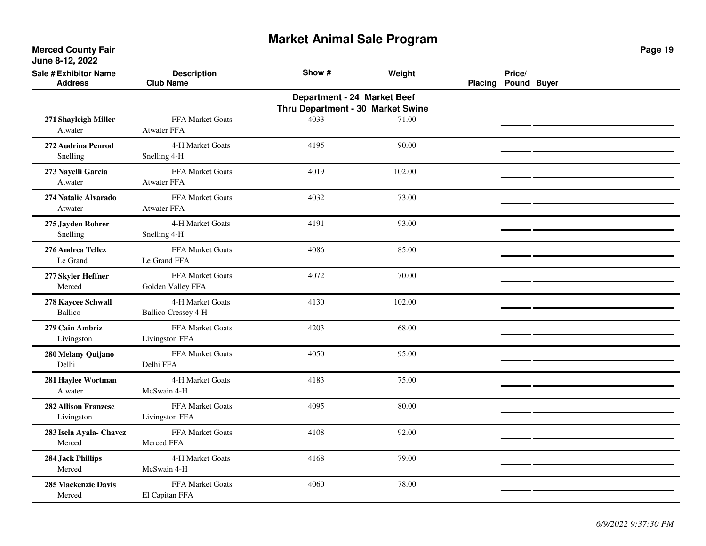**Merced County Fair June 8-12, 2022**

| <b>Sale # Exhibitor Name</b><br><b>Address</b> | <b>Description</b><br><b>Club Name</b>         | Show #                                                           | Weight | Placing | Price/<br>Pound Buyer |  |
|------------------------------------------------|------------------------------------------------|------------------------------------------------------------------|--------|---------|-----------------------|--|
|                                                |                                                | Department - 24 Market Beef<br>Thru Department - 30 Market Swine |        |         |                       |  |
| 271 Shayleigh Miller<br>Atwater                | FFA Market Goats<br><b>Atwater FFA</b>         | 4033                                                             | 71.00  |         |                       |  |
| 272 Audrina Penrod<br>Snelling                 | 4-H Market Goats<br>Snelling 4-H               | 4195                                                             | 90.00  |         |                       |  |
| 273 Nayelli Garcia<br>Atwater                  | FFA Market Goats<br>Atwater FFA                | 4019                                                             | 102.00 |         |                       |  |
| 274 Natalie Alvarado<br>Atwater                | FFA Market Goats<br>Atwater FFA                | 4032                                                             | 73.00  |         |                       |  |
| 275 Jayden Rohrer<br>Snelling                  | 4-H Market Goats<br>Snelling 4-H               | 4191                                                             | 93.00  |         |                       |  |
| 276 Andrea Tellez<br>Le Grand                  | FFA Market Goats<br>Le Grand FFA               | 4086                                                             | 85.00  |         |                       |  |
| 277 Skyler Heffner<br>Merced                   | FFA Market Goats<br>Golden Valley FFA          | 4072                                                             | 70.00  |         |                       |  |
| 278 Kaycee Schwall<br><b>Ballico</b>           | 4-H Market Goats<br><b>Ballico Cressey 4-H</b> | 4130                                                             | 102.00 |         |                       |  |
| 279 Cain Ambriz<br>Livingston                  | FFA Market Goats<br>Livingston FFA             | 4203                                                             | 68.00  |         |                       |  |
| 280 Melany Quijano<br>Delhi                    | FFA Market Goats<br>Delhi FFA                  | 4050                                                             | 95.00  |         |                       |  |
| 281 Haylee Wortman<br>Atwater                  | 4-H Market Goats<br>McSwain 4-H                | 4183                                                             | 75.00  |         |                       |  |
| <b>282 Allison Franzese</b><br>Livingston      | <b>FFA Market Goats</b><br>Livingston FFA      | 4095                                                             | 80.00  |         |                       |  |
| 283 Isela Ayala- Chavez<br>Merced              | FFA Market Goats<br>Merced FFA                 | 4108                                                             | 92.00  |         |                       |  |
| <b>284 Jack Phillips</b><br>Merced             | 4-H Market Goats<br>McSwain 4-H                | 4168                                                             | 79.00  |         |                       |  |
| 285 Mackenzie Davis<br>Merced                  | FFA Market Goats<br>El Capitan FFA             | 4060                                                             | 78.00  |         |                       |  |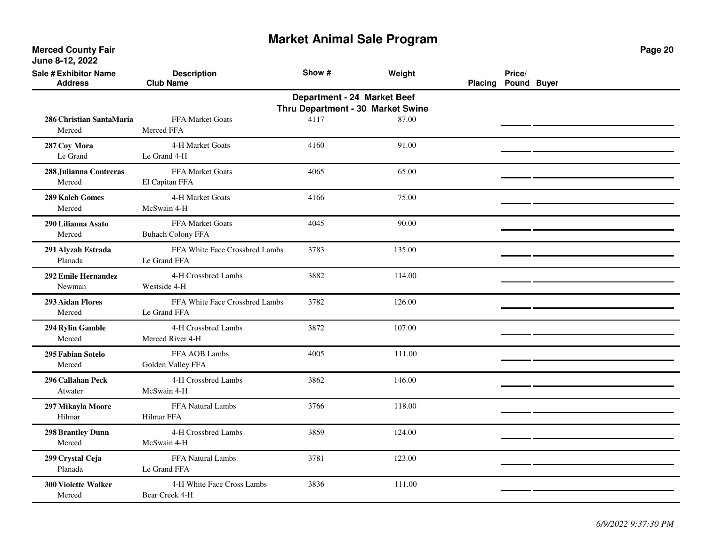| <b>Sale # Exhibitor Name</b><br><b>Address</b>                   | <b>Description</b><br><b>Club Name</b>         | Show # | Weight | <b>Placing</b> | Price/<br>Pound Buyer |  |  |  |  |
|------------------------------------------------------------------|------------------------------------------------|--------|--------|----------------|-----------------------|--|--|--|--|
| Department - 24 Market Beef<br>Thru Department - 30 Market Swine |                                                |        |        |                |                       |  |  |  |  |
| 286 Christian SantaMaria<br>Merced                               | FFA Market Goats<br>Merced FFA                 | 4117   | 87.00  |                |                       |  |  |  |  |
| 287 Coy Mora<br>Le Grand                                         | 4-H Market Goats<br>Le Grand 4-H               | 4160   | 91.00  |                |                       |  |  |  |  |
| 288 Julianna Contreras<br>Merced                                 | FFA Market Goats<br>El Capitan FFA             | 4065   | 65.00  |                |                       |  |  |  |  |
| <b>289 Kaleb Gomes</b><br>Merced                                 | 4-H Market Goats<br>McSwain 4-H                | 4166   | 75.00  |                |                       |  |  |  |  |
| 290 Lilianna Asato<br>Merced                                     | FFA Market Goats<br><b>Buhach Colony FFA</b>   | 4045   | 90.00  |                |                       |  |  |  |  |
| 291 Alyzah Estrada<br>Planada                                    | FFA White Face Crossbred Lambs<br>Le Grand FFA | 3783   | 135.00 |                |                       |  |  |  |  |
| 292 Emile Hernandez<br>Newman                                    | 4-H Crossbred Lambs<br>Westside 4-H            | 3882   | 114.00 |                |                       |  |  |  |  |
| <b>293 Aidan Flores</b><br>Merced                                | FFA White Face Crossbred Lambs<br>Le Grand FFA | 3782   | 126.00 |                |                       |  |  |  |  |
| 294 Rylin Gamble<br>Merced                                       | 4-H Crossbred Lambs<br>Merced River 4-H        | 3872   | 107.00 |                |                       |  |  |  |  |
| 295 Fabian Sotelo<br>Merced                                      | FFA AOB Lambs<br>Golden Valley FFA             | 4005   | 111.00 |                |                       |  |  |  |  |
| 296 Callahan Peck<br>Atwater                                     | 4-H Crossbred Lambs<br>McSwain 4-H             | 3862   | 146.00 |                |                       |  |  |  |  |
| 297 Mikayla Moore<br>Hilmar                                      | FFA Natural Lambs<br>Hilmar FFA                | 3766   | 118.00 |                |                       |  |  |  |  |
| <b>298 Brantley Dunn</b><br>Merced                               | 4-H Crossbred Lambs<br>McSwain 4-H             | 3859   | 124.00 |                |                       |  |  |  |  |
| 299 Crystal Ceja<br>Planada                                      | FFA Natural Lambs<br>Le Grand FFA              | 3781   | 123.00 |                |                       |  |  |  |  |
| 300 Violette Walker<br>Merced                                    | 4-H White Face Cross Lambs<br>Bear Creek 4-H   | 3836   | 111.00 |                |                       |  |  |  |  |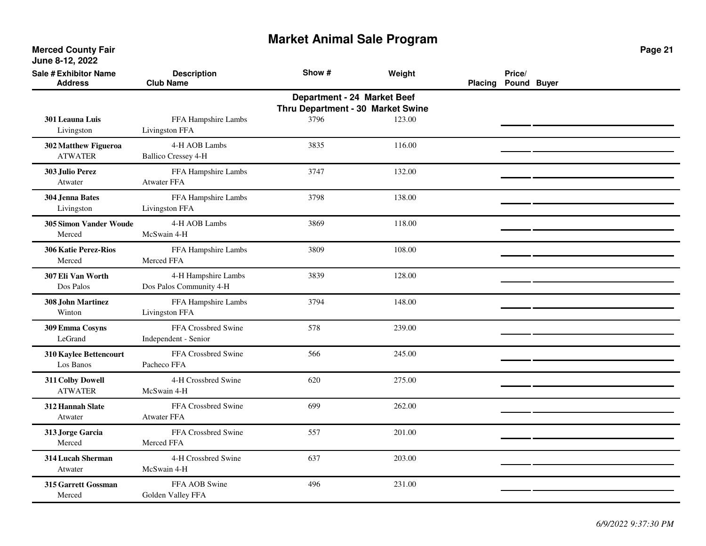| <b>Sale # Exhibitor Name</b><br><b>Address</b> | <b>Description</b><br><b>Club Name</b>                           | Show # | Weight | <b>Placing</b> | Price/<br>Pound Buyer |  |  |  |  |  |
|------------------------------------------------|------------------------------------------------------------------|--------|--------|----------------|-----------------------|--|--|--|--|--|
|                                                | Department - 24 Market Beef<br>Thru Department - 30 Market Swine |        |        |                |                       |  |  |  |  |  |
| <b>301 Leauna Luis</b><br>Livingston           | FFA Hampshire Lambs<br>Livingston FFA                            | 3796   | 123.00 |                |                       |  |  |  |  |  |
| 302 Matthew Figueroa<br><b>ATWATER</b>         | 4-H AOB Lambs<br><b>Ballico Cressey 4-H</b>                      | 3835   | 116.00 |                |                       |  |  |  |  |  |
| 303 Julio Perez<br>Atwater                     | FFA Hampshire Lambs<br><b>Atwater FFA</b>                        | 3747   | 132.00 |                |                       |  |  |  |  |  |
| 304 Jenna Bates<br>Livingston                  | FFA Hampshire Lambs<br>Livingston FFA                            | 3798   | 138.00 |                |                       |  |  |  |  |  |
| 305 Simon Vander Woude<br>Merced               | 4-H AOB Lambs<br>McSwain 4-H                                     | 3869   | 118.00 |                |                       |  |  |  |  |  |
| <b>306 Katie Perez-Rios</b><br>Merced          | FFA Hampshire Lambs<br>Merced FFA                                | 3809   | 108.00 |                |                       |  |  |  |  |  |
| 307 Eli Van Worth<br>Dos Palos                 | 4-H Hampshire Lambs<br>Dos Palos Community 4-H                   | 3839   | 128.00 |                |                       |  |  |  |  |  |
| <b>308 John Martinez</b><br>Winton             | FFA Hampshire Lambs<br>Livingston FFA                            | 3794   | 148.00 |                |                       |  |  |  |  |  |
| 309 Emma Cosyns<br>LeGrand                     | FFA Crossbred Swine<br>Independent - Senior                      | 578    | 239.00 |                |                       |  |  |  |  |  |
| 310 Kaylee Bettencourt<br>Los Banos            | FFA Crossbred Swine<br>Pacheco FFA                               | 566    | 245.00 |                |                       |  |  |  |  |  |
| 311 Colby Dowell<br><b>ATWATER</b>             | 4-H Crossbred Swine<br>McSwain 4-H                               | 620    | 275.00 |                |                       |  |  |  |  |  |
| 312 Hannah Slate<br>Atwater                    | FFA Crossbred Swine<br><b>Atwater FFA</b>                        | 699    | 262.00 |                |                       |  |  |  |  |  |
| 313 Jorge Garcia<br>Merced                     | FFA Crossbred Swine<br>Merced FFA                                | 557    | 201.00 |                |                       |  |  |  |  |  |
| 314 Lucah Sherman<br>Atwater                   | 4-H Crossbred Swine<br>McSwain 4-H                               | 637    | 203.00 |                |                       |  |  |  |  |  |
| 315 Garrett Gossman<br>Merced                  | FFA AOB Swine<br>Golden Valley FFA                               | 496    | 231.00 |                |                       |  |  |  |  |  |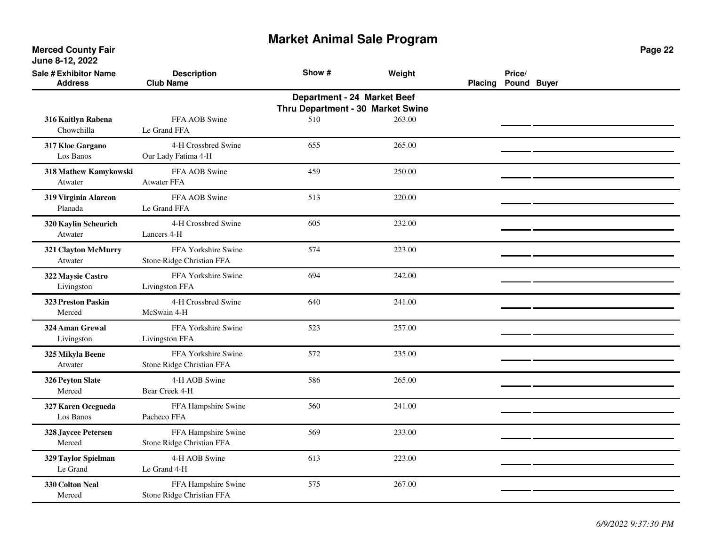**Merced County Fair June 8-12, 2022**

| <b>Sale # Exhibitor Name</b><br><b>Address</b> | <b>Description</b><br><b>Club Name</b>           | Show #                                                           | Weight | Placing | Price/<br>Pound Buyer |  |
|------------------------------------------------|--------------------------------------------------|------------------------------------------------------------------|--------|---------|-----------------------|--|
|                                                |                                                  | Department - 24 Market Beef<br>Thru Department - 30 Market Swine |        |         |                       |  |
| 316 Kaitlyn Rabena<br>Chowchilla               | FFA AOB Swine<br>Le Grand FFA                    | 510                                                              | 263.00 |         |                       |  |
| 317 Kloe Gargano<br>Los Banos                  | 4-H Crossbred Swine<br>Our Lady Fatima 4-H       | 655                                                              | 265.00 |         |                       |  |
| 318 Mathew Kamykowski<br>Atwater               | FFA AOB Swine<br><b>Atwater FFA</b>              | 459                                                              | 250.00 |         |                       |  |
| 319 Virginia Alarcon<br>Planada                | FFA AOB Swine<br>Le Grand FFA                    | 513                                                              | 220.00 |         |                       |  |
| 320 Kaylin Scheurich<br>Atwater                | 4-H Crossbred Swine<br>Lancers 4-H               | 605                                                              | 232.00 |         |                       |  |
| 321 Clayton McMurry<br>Atwater                 | FFA Yorkshire Swine<br>Stone Ridge Christian FFA | 574                                                              | 223.00 |         |                       |  |
| 322 Maysie Castro<br>Livingston                | FFA Yorkshire Swine<br>Livingston FFA            | 694                                                              | 242.00 |         |                       |  |
| 323 Preston Paskin<br>Merced                   | 4-H Crossbred Swine<br>McSwain 4-H               | 640                                                              | 241.00 |         |                       |  |
| 324 Aman Grewal<br>Livingston                  | FFA Yorkshire Swine<br>Livingston FFA            | 523                                                              | 257.00 |         |                       |  |
| 325 Mikyla Beene<br>Atwater                    | FFA Yorkshire Swine<br>Stone Ridge Christian FFA | 572                                                              | 235.00 |         |                       |  |
| 326 Peyton Slate<br>Merced                     | 4-H AOB Swine<br>Bear Creek 4-H                  | 586                                                              | 265.00 |         |                       |  |
| 327 Karen Ocegueda<br>Los Banos                | FFA Hampshire Swine<br>Pacheco FFA               | 560                                                              | 241.00 |         |                       |  |
| 328 Jaycee Petersen<br>Merced                  | FFA Hampshire Swine<br>Stone Ridge Christian FFA | 569                                                              | 233.00 |         |                       |  |
| 329 Taylor Spielman<br>Le Grand                | 4-H AOB Swine<br>Le Grand 4-H                    | 613                                                              | 223.00 |         |                       |  |
| 330 Colton Neal<br>Merced                      | FFA Hampshire Swine<br>Stone Ridge Christian FFA | 575                                                              | 267.00 |         |                       |  |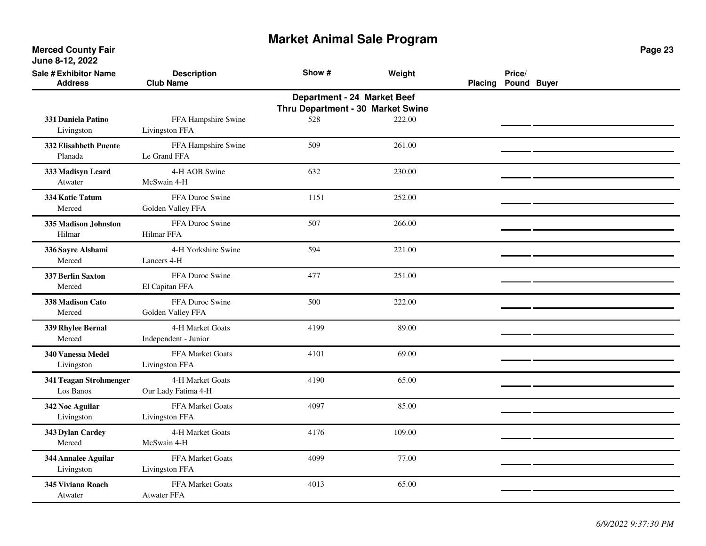| <b>Sale # Exhibitor Name</b><br><b>Address</b> | <b>Description</b><br><b>Club Name</b>   | Show #                                                           | Weight | Placing Pound Buyer | Price/ |  |
|------------------------------------------------|------------------------------------------|------------------------------------------------------------------|--------|---------------------|--------|--|
|                                                |                                          | Department - 24 Market Beef<br>Thru Department - 30 Market Swine |        |                     |        |  |
| 331 Daniela Patino<br>Livingston               | FFA Hampshire Swine<br>Livingston FFA    | 528                                                              | 222.00 |                     |        |  |
| 332 Elisahbeth Puente<br>Planada               | FFA Hampshire Swine<br>Le Grand FFA      | 509                                                              | 261.00 |                     |        |  |
| 333 Madisyn Leard<br>Atwater                   | 4-H AOB Swine<br>McSwain 4-H             | 632                                                              | 230.00 |                     |        |  |
| 334 Katie Tatum<br>Merced                      | FFA Duroc Swine<br>Golden Valley FFA     | 1151                                                             | 252.00 |                     |        |  |
| 335 Madison Johnston<br>Hilmar                 | FFA Duroc Swine<br>Hilmar FFA            | 507                                                              | 266.00 |                     |        |  |
| 336 Sayre Alshami<br>Merced                    | 4-H Yorkshire Swine<br>Lancers 4-H       | 594                                                              | 221.00 |                     |        |  |
| 337 Berlin Saxton<br>Merced                    | FFA Duroc Swine<br>El Capitan FFA        | 477                                                              | 251.00 |                     |        |  |
| 338 Madison Cato<br>Merced                     | FFA Duroc Swine<br>Golden Valley FFA     | 500                                                              | 222.00 |                     |        |  |
| 339 Rhylee Bernal<br>Merced                    | 4-H Market Goats<br>Independent - Junior | 4199                                                             | 89.00  |                     |        |  |
| 340 Vanessa Medel<br>Livingston                | FFA Market Goats<br>Livingston FFA       | 4101                                                             | 69.00  |                     |        |  |
| 341 Teagan Strohmenger<br>Los Banos            | 4-H Market Goats<br>Our Lady Fatima 4-H  | 4190                                                             | 65.00  |                     |        |  |
| 342 Noe Aguilar<br>Livingston                  | FFA Market Goats<br>Livingston FFA       | 4097                                                             | 85.00  |                     |        |  |
| 343 Dylan Cardey<br>Merced                     | 4-H Market Goats<br>McSwain 4-H          | 4176                                                             | 109.00 |                     |        |  |
| 344 Annalee Aguilar<br>Livingston              | FFA Market Goats<br>Livingston FFA       | 4099                                                             | 77.00  |                     |        |  |
| 345 Viviana Roach<br>Atwater                   | FFA Market Goats<br><b>Atwater FFA</b>   | 4013                                                             | 65.00  |                     |        |  |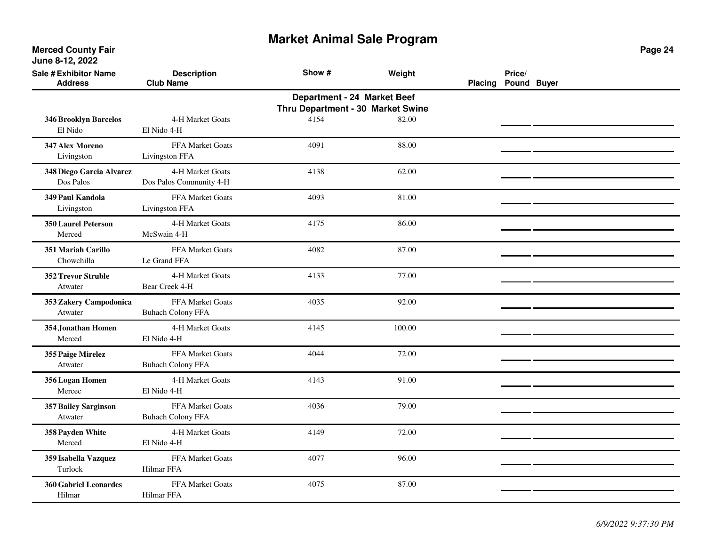**Merced County Fair June 8-12, 2022**

| <b>Sale # Exhibitor Name</b><br><b>Address</b> | <b>Description</b><br><b>Club Name</b>                           | Show # | Weight | Placing | Price/<br>Pound Buyer |  |  |  |  |
|------------------------------------------------|------------------------------------------------------------------|--------|--------|---------|-----------------------|--|--|--|--|
|                                                | Department - 24 Market Beef<br>Thru Department - 30 Market Swine |        |        |         |                       |  |  |  |  |
| 346 Brooklyn Barcelos<br>El Nido               | 4-H Market Goats<br>El Nido 4-H                                  | 4154   | 82.00  |         |                       |  |  |  |  |
| 347 Alex Moreno<br>Livingston                  | FFA Market Goats<br>Livingston FFA                               | 4091   | 88.00  |         |                       |  |  |  |  |
| 348 Diego Garcia Alvarez<br>Dos Palos          | 4-H Market Goats<br>Dos Palos Community 4-H                      | 4138   | 62.00  |         |                       |  |  |  |  |
| 349 Paul Kandola<br>Livingston                 | FFA Market Goats<br>Livingston FFA                               | 4093   | 81.00  |         |                       |  |  |  |  |
| <b>350 Laurel Peterson</b><br>Merced           | 4-H Market Goats<br>McSwain 4-H                                  | 4175   | 86.00  |         |                       |  |  |  |  |
| 351 Mariah Carillo<br>Chowchilla               | FFA Market Goats<br>Le Grand FFA                                 | 4082   | 87.00  |         |                       |  |  |  |  |
| <b>352 Trevor Struble</b><br>Atwater           | 4-H Market Goats<br>Bear Creek 4-H                               | 4133   | 77.00  |         |                       |  |  |  |  |
| 353 Zakery Campodonica<br>Atwater              | FFA Market Goats<br><b>Buhach Colony FFA</b>                     | 4035   | 92.00  |         |                       |  |  |  |  |
| 354 Jonathan Homen<br>Merced                   | 4-H Market Goats<br>El Nido 4-H                                  | 4145   | 100.00 |         |                       |  |  |  |  |
| 355 Paige Mirelez<br>Atwater                   | FFA Market Goats<br><b>Buhach Colony FFA</b>                     | 4044   | 72.00  |         |                       |  |  |  |  |
| 356 Logan Homen<br>Mercec                      | 4-H Market Goats<br>El Nido 4-H                                  | 4143   | 91.00  |         |                       |  |  |  |  |
| <b>357 Bailey Sarginson</b><br>Atwater         | FFA Market Goats<br><b>Buhach Colony FFA</b>                     | 4036   | 79.00  |         |                       |  |  |  |  |
| 358 Payden White<br>Merced                     | 4-H Market Goats<br>El Nido 4-H                                  | 4149   | 72.00  |         |                       |  |  |  |  |
| 359 Isabella Vazquez<br>Turlock                | FFA Market Goats<br><b>Hilmar FFA</b>                            | 4077   | 96.00  |         |                       |  |  |  |  |
| <b>360 Gabriel Leonardes</b><br>Hilmar         | FFA Market Goats<br>Hilmar FFA                                   | 4075   | 87.00  |         |                       |  |  |  |  |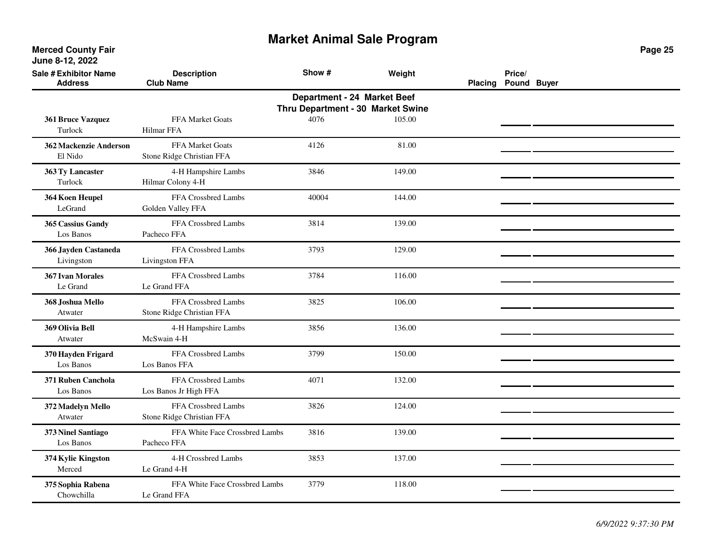| <b>Sale # Exhibitor Name</b><br><b>Address</b> | <b>Description</b><br><b>Club Name</b>           | Show #                                                           | Weight | <b>Placing</b> | Price/<br>Pound Buyer |  |
|------------------------------------------------|--------------------------------------------------|------------------------------------------------------------------|--------|----------------|-----------------------|--|
|                                                |                                                  | Department - 24 Market Beef<br>Thru Department - 30 Market Swine |        |                |                       |  |
| 361 Bruce Vazquez<br>Turlock                   | <b>FFA Market Goats</b><br><b>Hilmar FFA</b>     | 4076                                                             | 105.00 |                |                       |  |
| 362 Mackenzie Anderson<br>El Nido              | FFA Market Goats<br>Stone Ridge Christian FFA    | 4126                                                             | 81.00  |                |                       |  |
| 363 Ty Lancaster<br>Turlock                    | 4-H Hampshire Lambs<br>Hilmar Colony 4-H         | 3846                                                             | 149.00 |                |                       |  |
| 364 Koen Heupel<br>LeGrand                     | FFA Crossbred Lambs<br>Golden Valley FFA         | 40004                                                            | 144.00 |                |                       |  |
| 365 Cassius Gandy<br>Los Banos                 | FFA Crossbred Lambs<br>Pacheco FFA               | 3814                                                             | 139.00 |                |                       |  |
| 366 Jayden Castaneda<br>Livingston             | FFA Crossbred Lambs<br>Livingston FFA            | 3793                                                             | 129.00 |                |                       |  |
| 367 Ivan Morales<br>Le Grand                   | FFA Crossbred Lambs<br>Le Grand FFA              | 3784                                                             | 116.00 |                |                       |  |
| 368 Joshua Mello<br>Atwater                    | FFA Crossbred Lambs<br>Stone Ridge Christian FFA | 3825                                                             | 106.00 |                |                       |  |
| 369 Olivia Bell<br>Atwater                     | 4-H Hampshire Lambs<br>McSwain 4-H               | 3856                                                             | 136.00 |                |                       |  |
| 370 Hayden Frigard<br>Los Banos                | FFA Crossbred Lambs<br>Los Banos FFA             | 3799                                                             | 150.00 |                |                       |  |
| 371 Ruben Canchola<br>Los Banos                | FFA Crossbred Lambs<br>Los Banos Jr High FFA     | 4071                                                             | 132.00 |                |                       |  |
| 372 Madelyn Mello<br>Atwater                   | FFA Crossbred Lambs<br>Stone Ridge Christian FFA | 3826                                                             | 124.00 |                |                       |  |
| 373 Ninel Santiago<br>Los Banos                | FFA White Face Crossbred Lambs<br>Pacheco FFA    | 3816                                                             | 139.00 |                |                       |  |
| 374 Kylie Kingston<br>Merced                   | 4-H Crossbred Lambs<br>Le Grand 4-H              | 3853                                                             | 137.00 |                |                       |  |
| 375 Sophia Rabena<br>Chowchilla                | FFA White Face Crossbred Lambs<br>Le Grand FFA   | 3779                                                             | 118.00 |                |                       |  |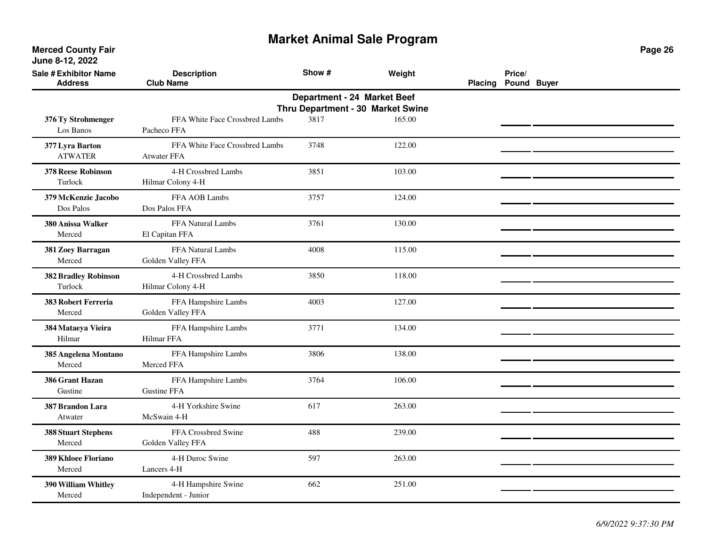| <b>Sale # Exhibitor Name</b><br><b>Address</b> | <b>Description</b><br><b>Club Name</b>               | Show #                      | Weight                            | <b>Placing</b> | Price/<br>Pound Buyer |  |
|------------------------------------------------|------------------------------------------------------|-----------------------------|-----------------------------------|----------------|-----------------------|--|
|                                                |                                                      | Department - 24 Market Beef | Thru Department - 30 Market Swine |                |                       |  |
| 376 Ty Strohmenger<br>Los Banos                | FFA White Face Crossbred Lambs<br>Pacheco FFA        | 3817                        | 165.00                            |                |                       |  |
| 377 Lyra Barton<br><b>ATWATER</b>              | FFA White Face Crossbred Lambs<br><b>Atwater FFA</b> | 3748                        | 122.00                            |                |                       |  |
| <b>378 Reese Robinson</b><br>Turlock           | 4-H Crossbred Lambs<br>Hilmar Colony 4-H             | 3851                        | 103.00                            |                |                       |  |
| 379 McKenzie Jacobo<br>Dos Palos               | FFA AOB Lambs<br>Dos Palos FFA                       | 3757                        | 124.00                            |                |                       |  |
| 380 Anissa Walker<br>Merced                    | FFA Natural Lambs<br>El Capitan FFA                  | 3761                        | 130.00                            |                |                       |  |
| 381 Zoey Barragan<br>Merced                    | FFA Natural Lambs<br>Golden Valley FFA               | 4008                        | 115.00                            |                |                       |  |
| <b>382 Bradley Robinson</b><br>Turlock         | 4-H Crossbred Lambs<br>Hilmar Colony 4-H             | 3850                        | 118.00                            |                |                       |  |
| <b>383 Robert Ferreria</b><br>Merced           | FFA Hampshire Lambs<br>Golden Valley FFA             | 4003                        | 127.00                            |                |                       |  |
| 384 Mataeya Vieira<br>Hilmar                   | FFA Hampshire Lambs<br>Hilmar FFA                    | 3771                        | 134.00                            |                |                       |  |
| 385 Angelena Montano<br>Merced                 | FFA Hampshire Lambs<br>Merced FFA                    | 3806                        | 138.00                            |                |                       |  |
| 386 Grant Hazan<br>Gustine                     | FFA Hampshire Lambs<br><b>Gustine FFA</b>            | 3764                        | 106.00                            |                |                       |  |
| 387 Brandon Lara<br>Atwater                    | 4-H Yorkshire Swine<br>McSwain 4-H                   | 617                         | 263.00                            |                |                       |  |
| <b>388 Stuart Stephens</b><br>Merced           | FFA Crossbred Swine<br>Golden Valley FFA             | 488                         | 239.00                            |                |                       |  |
| 389 Khloee Floriano<br>Merced                  | 4-H Duroc Swine<br>Lancers 4-H                       | 597                         | 263.00                            |                |                       |  |
| 390 William Whitley<br>Merced                  | 4-H Hampshire Swine<br>Independent - Junior          | 662                         | 251.00                            |                |                       |  |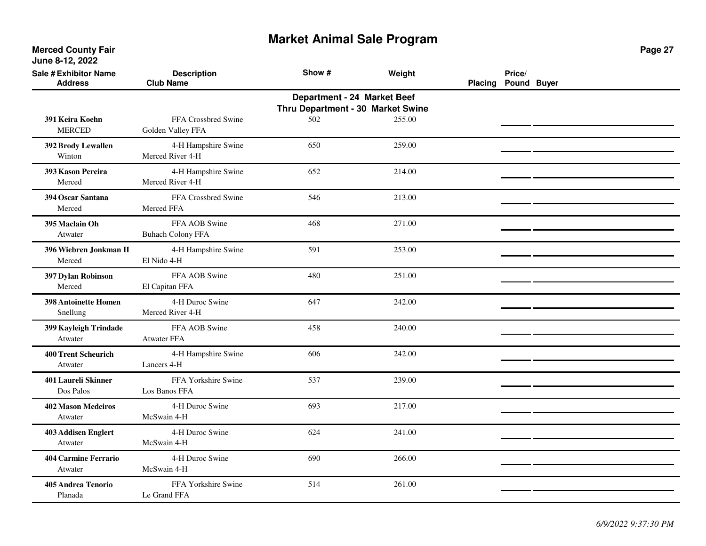**Merced County Fair June 8-12, 2022**

| Sale # Exhibitor Name<br><b>Address</b> | <b>Description</b><br><b>Club Name</b>    | Show #                                                           | Weight | Placing Pound Buyer | Price/ |  |
|-----------------------------------------|-------------------------------------------|------------------------------------------------------------------|--------|---------------------|--------|--|
|                                         |                                           | Department - 24 Market Beef<br>Thru Department - 30 Market Swine |        |                     |        |  |
| 391 Keira Koehn<br><b>MERCED</b>        | FFA Crossbred Swine<br>Golden Valley FFA  | 502                                                              | 255.00 |                     |        |  |
| 392 Brody Lewallen<br>Winton            | 4-H Hampshire Swine<br>Merced River 4-H   | 650                                                              | 259.00 |                     |        |  |
| 393 Kason Pereira<br>Merced             | 4-H Hampshire Swine<br>Merced River 4-H   | 652                                                              | 214.00 |                     |        |  |
| 394 Oscar Santana<br>Merced             | FFA Crossbred Swine<br>Merced FFA         | 546                                                              | 213.00 |                     |        |  |
| 395 Maclain Oh<br>Atwater               | FFA AOB Swine<br><b>Buhach Colony FFA</b> | 468                                                              | 271.00 |                     |        |  |
| 396 Wiebren Jonkman II<br>Merced        | 4-H Hampshire Swine<br>El Nido 4-H        | 591                                                              | 253.00 |                     |        |  |
| 397 Dylan Robinson<br>Merced            | FFA AOB Swine<br>El Capitan FFA           | 480                                                              | 251.00 |                     |        |  |
| <b>398 Antoinette Homen</b><br>Snellung | 4-H Duroc Swine<br>Merced River 4-H       | 647                                                              | 242.00 |                     |        |  |
| 399 Kayleigh Trindade<br>Atwater        | FFA AOB Swine<br>Atwater FFA              | 458                                                              | 240.00 |                     |        |  |
| <b>400 Trent Scheurich</b><br>Atwater   | 4-H Hampshire Swine<br>Lancers 4-H        | 606                                                              | 242.00 |                     |        |  |
| 401 Laureli Skinner<br>Dos Palos        | FFA Yorkshire Swine<br>Los Banos FFA      | 537                                                              | 239.00 |                     |        |  |
| <b>402 Mason Medeiros</b><br>Atwater    | 4-H Duroc Swine<br>McSwain 4-H            | 693                                                              | 217.00 |                     |        |  |
| <b>403 Addisen Englert</b><br>Atwater   | 4-H Duroc Swine<br>McSwain 4-H            | 624                                                              | 241.00 |                     |        |  |
| <b>404 Carmine Ferrario</b><br>Atwater  | 4-H Duroc Swine<br>McSwain 4-H            | 690                                                              | 266.00 |                     |        |  |
| <b>405 Andrea Tenorio</b><br>Planada    | FFA Yorkshire Swine<br>Le Grand FFA       | 514                                                              | 261.00 |                     |        |  |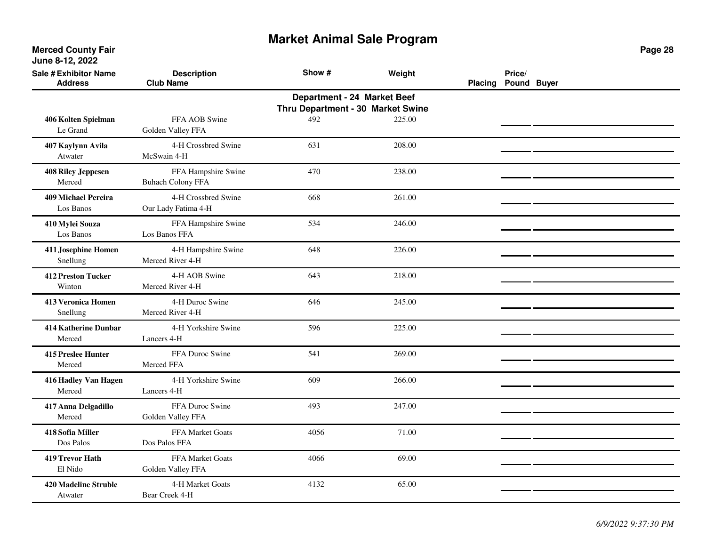**Merced County Fair June 8-12, 2022**

| <b>Sale # Exhibitor Name</b><br><b>Address</b> | <b>Description</b><br><b>Club Name</b>          | Show #                                                                  | Weight | <b>Placing</b> | Price/<br>Pound Buyer |  |
|------------------------------------------------|-------------------------------------------------|-------------------------------------------------------------------------|--------|----------------|-----------------------|--|
|                                                |                                                 | <b>Department - 24 Market Beef</b><br>Thru Department - 30 Market Swine |        |                |                       |  |
| 406 Kolten Spielman<br>Le Grand                | FFA AOB Swine<br>Golden Valley FFA              | 492                                                                     | 225.00 |                |                       |  |
| 407 Kaylynn Avila<br>Atwater                   | 4-H Crossbred Swine<br>McSwain 4-H              | 631                                                                     | 208.00 |                |                       |  |
| <b>408 Riley Jeppesen</b><br>Merced            | FFA Hampshire Swine<br><b>Buhach Colony FFA</b> | 470                                                                     | 238.00 |                |                       |  |
| <b>409 Michael Pereira</b><br>Los Banos        | 4-H Crossbred Swine<br>Our Lady Fatima 4-H      | 668                                                                     | 261.00 |                |                       |  |
| 410 Mylei Souza<br>Los Banos                   | FFA Hampshire Swine<br>Los Banos FFA            | 534                                                                     | 246.00 |                |                       |  |
| 411 Josephine Homen<br>Snellung                | 4-H Hampshire Swine<br>Merced River 4-H         | 648                                                                     | 226.00 |                |                       |  |
| <b>412 Preston Tucker</b><br>Winton            | 4-H AOB Swine<br>Merced River 4-H               | 643                                                                     | 218.00 |                |                       |  |
| <b>413 Veronica Homen</b><br>Snellung          | 4-H Duroc Swine<br>Merced River 4-H             | 646                                                                     | 245.00 |                |                       |  |
| <b>414 Katherine Dunbar</b><br>Merced          | 4-H Yorkshire Swine<br>Lancers 4-H              | 596                                                                     | 225.00 |                |                       |  |
| <b>415 Preslee Hunter</b><br>Merced            | FFA Duroc Swine<br>Merced FFA                   | 541                                                                     | 269.00 |                |                       |  |
| 416 Hadley Van Hagen<br>Merced                 | 4-H Yorkshire Swine<br>Lancers 4-H              | 609                                                                     | 266.00 |                |                       |  |
| 417 Anna Delgadillo<br>Merced                  | FFA Duroc Swine<br>Golden Valley FFA            | 493                                                                     | 247.00 |                |                       |  |
| 418 Sofia Miller<br>Dos Palos                  | FFA Market Goats<br>Dos Palos FFA               | 4056                                                                    | 71.00  |                |                       |  |
| <b>419 Trevor Hath</b><br>El Nido              | FFA Market Goats<br>Golden Valley FFA           | 4066                                                                    | 69.00  |                |                       |  |
| <b>420 Madeline Struble</b><br>Atwater         | 4-H Market Goats<br>Bear Creek 4-H              | 4132                                                                    | 65.00  |                |                       |  |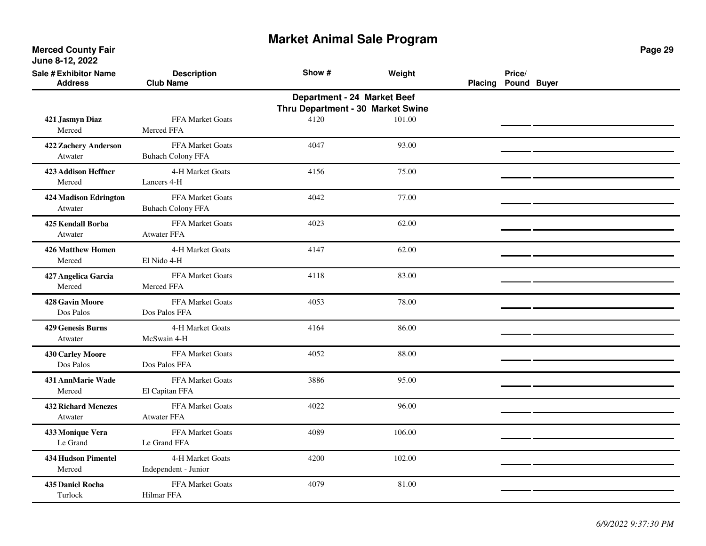| <b>Sale # Exhibitor Name</b><br><b>Address</b> | <b>Description</b><br><b>Club Name</b>              | Show #                                                           | Weight | Placing Pound Buyer | Price/ |  |
|------------------------------------------------|-----------------------------------------------------|------------------------------------------------------------------|--------|---------------------|--------|--|
|                                                |                                                     | Department - 24 Market Beef<br>Thru Department - 30 Market Swine |        |                     |        |  |
| 421 Jasmyn Diaz<br>Merced                      | <b>FFA Market Goats</b><br>Merced FFA               | 4120                                                             | 101.00 |                     |        |  |
| 422 Zachery Anderson<br>Atwater                | FFA Market Goats<br><b>Buhach Colony FFA</b>        | 4047                                                             | 93.00  |                     |        |  |
| <b>423 Addison Heffner</b><br>Merced           | 4-H Market Goats<br>Lancers 4-H                     | 4156                                                             | 75.00  |                     |        |  |
| <b>424 Madison Edrington</b><br>Atwater        | <b>FFA Market Goats</b><br><b>Buhach Colony FFA</b> | 4042                                                             | 77.00  |                     |        |  |
| 425 Kendall Borba<br>Atwater                   | FFA Market Goats<br><b>Atwater FFA</b>              | 4023                                                             | 62.00  |                     |        |  |
| <b>426 Matthew Homen</b><br>Merced             | 4-H Market Goats<br>El Nido 4-H                     | 4147                                                             | 62.00  |                     |        |  |
| 427 Angelica Garcia<br>Merced                  | FFA Market Goats<br>Merced FFA                      | 4118                                                             | 83.00  |                     |        |  |
| <b>428 Gavin Moore</b><br>Dos Palos            | <b>FFA Market Goats</b><br>Dos Palos FFA            | 4053                                                             | 78.00  |                     |        |  |
| <b>429 Genesis Burns</b><br>Atwater            | 4-H Market Goats<br>McSwain 4-H                     | 4164                                                             | 86.00  |                     |        |  |
| 430 Carley Moore<br>Dos Palos                  | <b>FFA Market Goats</b><br>Dos Palos FFA            | 4052                                                             | 88.00  |                     |        |  |
| 431 AnnMarie Wade<br>Merced                    | FFA Market Goats<br>El Capitan FFA                  | 3886                                                             | 95.00  |                     |        |  |
| <b>432 Richard Menezes</b><br>Atwater          | FFA Market Goats<br><b>Atwater FFA</b>              | 4022                                                             | 96.00  |                     |        |  |
| 433 Monique Vera<br>Le Grand                   | <b>FFA Market Goats</b><br>Le Grand FFA             | 4089                                                             | 106.00 |                     |        |  |
| <b>434 Hudson Pimentel</b><br>Merced           | 4-H Market Goats<br>Independent - Junior            | 4200                                                             | 102.00 |                     |        |  |
| 435 Daniel Rocha<br>Turlock                    | FFA Market Goats<br><b>Hilmar FFA</b>               | 4079                                                             | 81.00  |                     |        |  |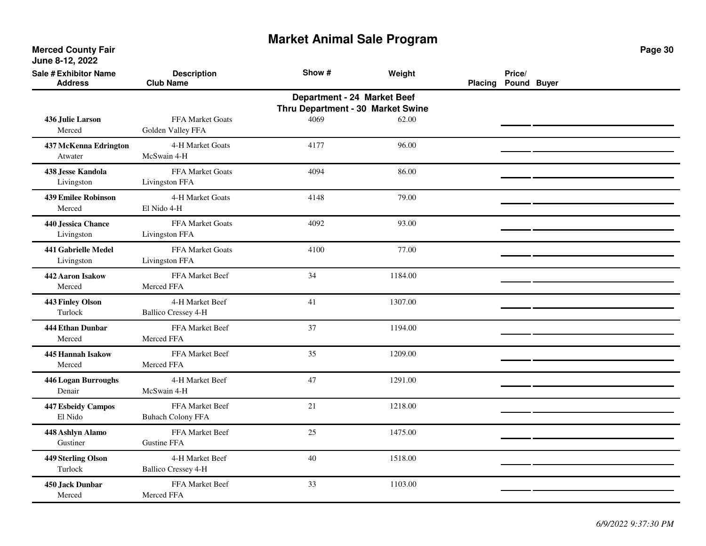| <b>Sale # Exhibitor Name</b><br><b>Address</b> | <b>Description</b><br><b>Club Name</b>        | Show #                                                           | Weight  | <b>Placing</b> | Price/<br>Pound Buyer |  |
|------------------------------------------------|-----------------------------------------------|------------------------------------------------------------------|---------|----------------|-----------------------|--|
|                                                |                                               | Department - 24 Market Beef<br>Thru Department - 30 Market Swine |         |                |                       |  |
| 436 Julie Larson<br>Merced                     | <b>FFA Market Goats</b><br>Golden Valley FFA  | 4069                                                             | 62.00   |                |                       |  |
| 437 McKenna Edrington<br>Atwater               | 4-H Market Goats<br>McSwain 4-H               | 4177                                                             | 96.00   |                |                       |  |
| 438 Jesse Kandola<br>Livingston                | FFA Market Goats<br>Livingston FFA            | 4094                                                             | 86.00   |                |                       |  |
| <b>439 Emilee Robinson</b><br>Merced           | 4-H Market Goats<br>El Nido 4-H               | 4148                                                             | 79.00   |                |                       |  |
| 440 Jessica Chance<br>Livingston               | FFA Market Goats<br>Livingston FFA            | 4092                                                             | 93.00   |                |                       |  |
| 441 Gabrielle Medel<br>Livingston              | FFA Market Goats<br>Livingston FFA            | 4100                                                             | 77.00   |                |                       |  |
| 442 Aaron Isakow<br>Merced                     | FFA Market Beef<br>Merced FFA                 | 34                                                               | 1184.00 |                |                       |  |
| 443 Finley Olson<br>Turlock                    | 4-H Market Beef<br><b>Ballico Cressey 4-H</b> | 41                                                               | 1307.00 |                |                       |  |
| 444 Ethan Dunbar<br>Merced                     | FFA Market Beef<br>Merced FFA                 | 37                                                               | 1194.00 |                |                       |  |
| 445 Hannah Isakow<br>Merced                    | FFA Market Beef<br>Merced FFA                 | 35                                                               | 1209.00 |                |                       |  |
| 446 Logan Burroughs<br>Denair                  | 4-H Market Beef<br>McSwain 4-H                | 47                                                               | 1291.00 |                |                       |  |
| 447 Esbeidy Campos<br>El Nido                  | FFA Market Beef<br><b>Buhach Colony FFA</b>   | 21                                                               | 1218.00 |                |                       |  |
| 448 Ashlyn Alamo<br>Gustiner                   | FFA Market Beef<br><b>Gustine FFA</b>         | 25                                                               | 1475.00 |                |                       |  |
| 449 Sterling Olson<br>Turlock                  | 4-H Market Beef<br><b>Ballico Cressey 4-H</b> | 40                                                               | 1518.00 |                |                       |  |
| 450 Jack Dunbar<br>Merced                      | FFA Market Beef<br>Merced FFA                 | 33                                                               | 1103.00 |                |                       |  |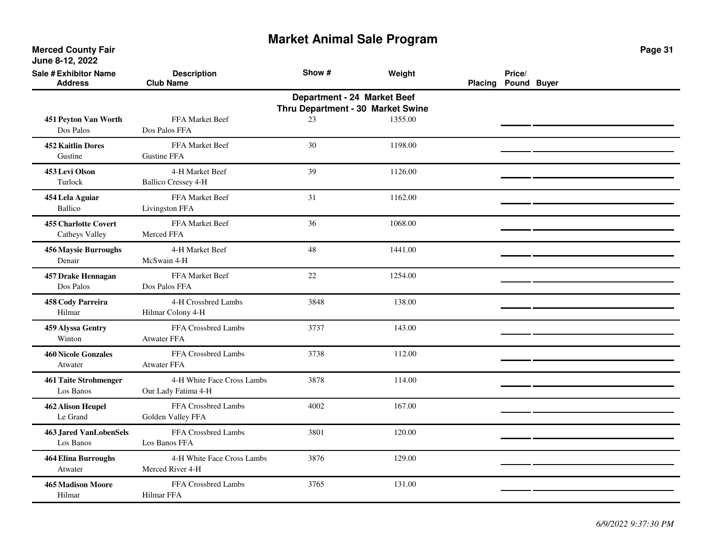**Merced County Fair June 8-12, 2022**

| <b>Sale # Exhibitor Name</b><br><b>Address</b>                   | <b>Description</b><br><b>Club Name</b>            | Show # | Weight  | <b>Placing</b> | Price/<br>Pound Buyer |  |  |  |  |
|------------------------------------------------------------------|---------------------------------------------------|--------|---------|----------------|-----------------------|--|--|--|--|
| Department - 24 Market Beef<br>Thru Department - 30 Market Swine |                                                   |        |         |                |                       |  |  |  |  |
| 451 Peyton Van Worth<br>Dos Palos                                | FFA Market Beef<br>Dos Palos FFA                  | 23     | 1355.00 |                |                       |  |  |  |  |
| <b>452 Kaitlin Dores</b><br>Gustine                              | FFA Market Beef<br><b>Gustine FFA</b>             | 30     | 1198.00 |                |                       |  |  |  |  |
| 453 Levi Olson<br>Turlock                                        | 4-H Market Beef<br><b>Ballico Cressey 4-H</b>     | 39     | 1126.00 |                |                       |  |  |  |  |
| 454 Lela Aguiar<br>Ballico                                       | FFA Market Beef<br>Livingston FFA                 | 31     | 1162.00 |                |                       |  |  |  |  |
| <b>455 Charlotte Covert</b><br>Catheys Valley                    | FFA Market Beef<br>Merced FFA                     | 36     | 1068.00 |                |                       |  |  |  |  |
| <b>456 Maysie Burroughs</b><br>Denair                            | 4-H Market Beef<br>McSwain 4-H                    | 48     | 1441.00 |                |                       |  |  |  |  |
| 457 Drake Hennagan<br>Dos Palos                                  | FFA Market Beef<br>Dos Palos FFA                  | 22     | 1254.00 |                |                       |  |  |  |  |
| 458 Cody Parreira<br>Hilmar                                      | 4-H Crossbred Lambs<br>Hilmar Colony 4-H          | 3848   | 138.00  |                |                       |  |  |  |  |
| 459 Alyssa Gentry<br>Winton                                      | FFA Crossbred Lambs<br><b>Atwater FFA</b>         | 3737   | 143.00  |                |                       |  |  |  |  |
| <b>460 Nicole Gonzales</b><br>Atwater                            | FFA Crossbred Lambs<br><b>Atwater FFA</b>         | 3738   | 112.00  |                |                       |  |  |  |  |
| <b>461 Taite Strohmenger</b><br>Los Banos                        | 4-H White Face Cross Lambs<br>Our Lady Fatima 4-H | 3878   | 114.00  |                |                       |  |  |  |  |
| <b>462 Alison Heupel</b><br>Le Grand                             | FFA Crossbred Lambs<br>Golden Valley FFA          | 4002   | 167.00  |                |                       |  |  |  |  |
| <b>463 Jared VanLobenSels</b><br>Los Banos                       | FFA Crossbred Lambs<br>Los Banos FFA              | 3801   | 120.00  |                |                       |  |  |  |  |
| <b>464 Elina Burroughs</b><br>Atwater                            | 4-H White Face Cross Lambs<br>Merced River 4-H    | 3876   | 129.00  |                |                       |  |  |  |  |
| <b>465 Madison Moore</b><br>Hilmar                               | FFA Crossbred Lambs<br><b>Hilmar FFA</b>          | 3765   | 131.00  |                |                       |  |  |  |  |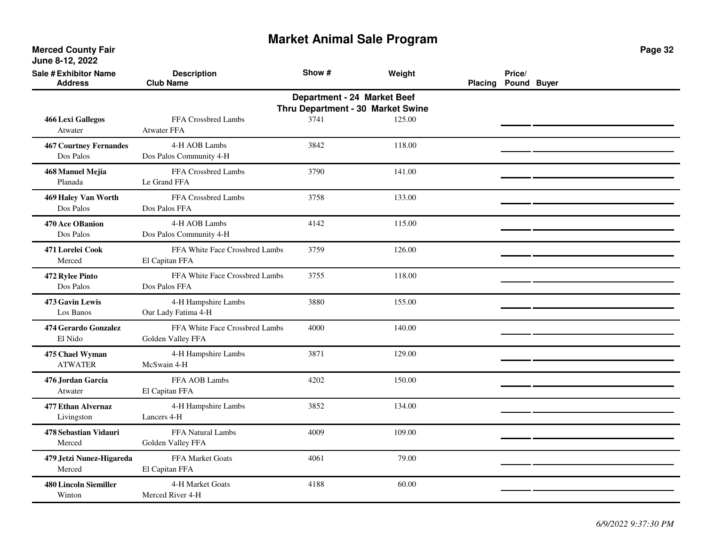| <b>Sale # Exhibitor Name</b><br><b>Address</b>                   | <b>Description</b><br><b>Club Name</b>              | Show # | Weight | <b>Placing</b> | Price/<br>Pound Buyer |  |  |  |  |
|------------------------------------------------------------------|-----------------------------------------------------|--------|--------|----------------|-----------------------|--|--|--|--|
| Department - 24 Market Beef<br>Thru Department - 30 Market Swine |                                                     |        |        |                |                       |  |  |  |  |
| <b>466 Lexi Gallegos</b><br>Atwater                              | FFA Crossbred Lambs<br><b>Atwater FFA</b>           | 3741   | 125.00 |                |                       |  |  |  |  |
| <b>467 Courtney Fernandes</b><br>Dos Palos                       | 4-H AOB Lambs<br>Dos Palos Community 4-H            | 3842   | 118.00 |                |                       |  |  |  |  |
| 468 Manuel Mejia<br>Planada                                      | FFA Crossbred Lambs<br>Le Grand FFA                 | 3790   | 141.00 |                |                       |  |  |  |  |
| 469 Haley Van Worth<br>Dos Palos                                 | FFA Crossbred Lambs<br>Dos Palos FFA                | 3758   | 133.00 |                |                       |  |  |  |  |
| 470 Ace OBanion<br>Dos Palos                                     | 4-H AOB Lambs<br>Dos Palos Community 4-H            | 4142   | 115.00 |                |                       |  |  |  |  |
| 471 Lorelei Cook<br>Merced                                       | FFA White Face Crossbred Lambs<br>El Capitan FFA    | 3759   | 126.00 |                |                       |  |  |  |  |
| 472 Rylee Pinto<br>Dos Palos                                     | FFA White Face Crossbred Lambs<br>Dos Palos FFA     | 3755   | 118.00 |                |                       |  |  |  |  |
| 473 Gavin Lewis<br>Los Banos                                     | 4-H Hampshire Lambs<br>Our Lady Fatima 4-H          | 3880   | 155.00 |                |                       |  |  |  |  |
| 474 Gerardo Gonzalez<br>El Nido                                  | FFA White Face Crossbred Lambs<br>Golden Valley FFA | 4000   | 140.00 |                |                       |  |  |  |  |
| 475 Chael Wyman<br><b>ATWATER</b>                                | 4-H Hampshire Lambs<br>McSwain 4-H                  | 3871   | 129.00 |                |                       |  |  |  |  |
| 476 Jordan Garcia<br>Atwater                                     | FFA AOB Lambs<br>El Capitan FFA                     | 4202   | 150.00 |                |                       |  |  |  |  |
| 477 Ethan Alvernaz<br>Livingston                                 | 4-H Hampshire Lambs<br>Lancers 4-H                  | 3852   | 134.00 |                |                       |  |  |  |  |
| 478 Sebastian Vidauri<br>Merced                                  | FFA Natural Lambs<br>Golden Valley FFA              | 4009   | 109.00 |                |                       |  |  |  |  |
| 479 Jetzi Nunez-Higareda<br>Merced                               | FFA Market Goats<br>El Capitan FFA                  | 4061   | 79.00  |                |                       |  |  |  |  |
| <b>480 Lincoln Siemiller</b><br>Winton                           | 4-H Market Goats<br>Merced River 4-H                | 4188   | 60.00  |                |                       |  |  |  |  |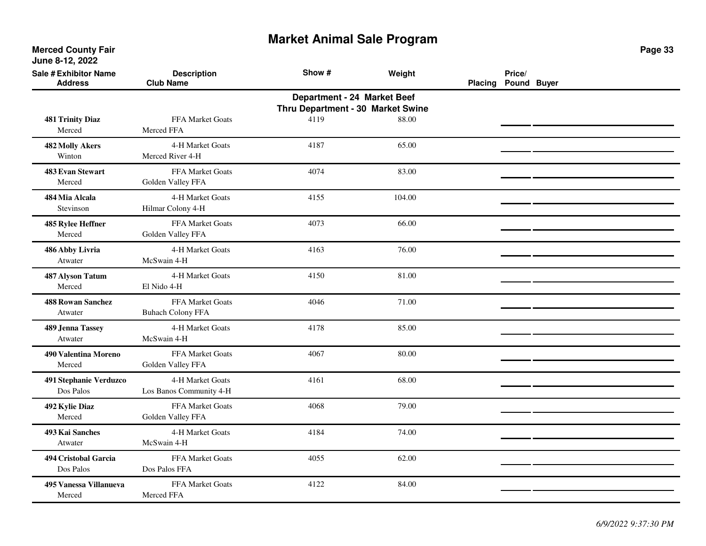**Merced County Fair June 8-12, 2022**

| <b>Sale # Exhibitor Name</b><br><b>Address</b> | <b>Description</b><br><b>Club Name</b>                                                                | Show # | Weight | <b>Placing</b> | Price/<br>Pound Buyer |  |  |  |  |
|------------------------------------------------|-------------------------------------------------------------------------------------------------------|--------|--------|----------------|-----------------------|--|--|--|--|
|                                                | Department - 24 Market Beef<br>Thru Department - 30 Market Swine<br>FFA Market Goats<br>4119<br>88.00 |        |        |                |                       |  |  |  |  |
| <b>481 Trinity Diaz</b><br>Merced              | Merced FFA                                                                                            |        |        |                |                       |  |  |  |  |
| <b>482 Molly Akers</b><br>Winton               | 4-H Market Goats<br>Merced River 4-H                                                                  | 4187   | 65.00  |                |                       |  |  |  |  |
| <b>483 Evan Stewart</b><br>Merced              | FFA Market Goats<br>Golden Valley FFA                                                                 | 4074   | 83.00  |                |                       |  |  |  |  |
| 484 Mia Alcala<br>Stevinson                    | 4-H Market Goats<br>Hilmar Colony 4-H                                                                 | 4155   | 104.00 |                |                       |  |  |  |  |
| 485 Rylee Heffner<br>Merced                    | FFA Market Goats<br>Golden Valley FFA                                                                 | 4073   | 66.00  |                |                       |  |  |  |  |
| 486 Abby Livria<br>Atwater                     | 4-H Market Goats<br>McSwain 4-H                                                                       | 4163   | 76.00  |                |                       |  |  |  |  |
| <b>487 Alyson Tatum</b><br>Merced              | 4-H Market Goats<br>El Nido 4-H                                                                       | 4150   | 81.00  |                |                       |  |  |  |  |
| <b>488 Rowan Sanchez</b><br>Atwater            | FFA Market Goats<br><b>Buhach Colony FFA</b>                                                          | 4046   | 71.00  |                |                       |  |  |  |  |
| <b>489 Jenna Tassey</b><br>Atwater             | 4-H Market Goats<br>McSwain 4-H                                                                       | 4178   | 85.00  |                |                       |  |  |  |  |
| 490 Valentina Moreno<br>Merced                 | FFA Market Goats<br>Golden Valley FFA                                                                 | 4067   | 80.00  |                |                       |  |  |  |  |
| 491 Stephanie Verduzco<br>Dos Palos            | 4-H Market Goats<br>Los Banos Community 4-H                                                           | 4161   | 68.00  |                |                       |  |  |  |  |
| 492 Kylie Diaz<br>Merced                       | FFA Market Goats<br>Golden Valley FFA                                                                 | 4068   | 79.00  |                |                       |  |  |  |  |
| 493 Kai Sanches<br>Atwater                     | 4-H Market Goats<br>McSwain 4-H                                                                       | 4184   | 74.00  |                |                       |  |  |  |  |
| 494 Cristobal Garcia<br>Dos Palos              | FFA Market Goats<br>Dos Palos FFA                                                                     | 4055   | 62.00  |                |                       |  |  |  |  |
| 495 Vanessa Villanueva<br>Merced               | <b>FFA Market Goats</b><br>Merced FFA                                                                 | 4122   | 84.00  |                |                       |  |  |  |  |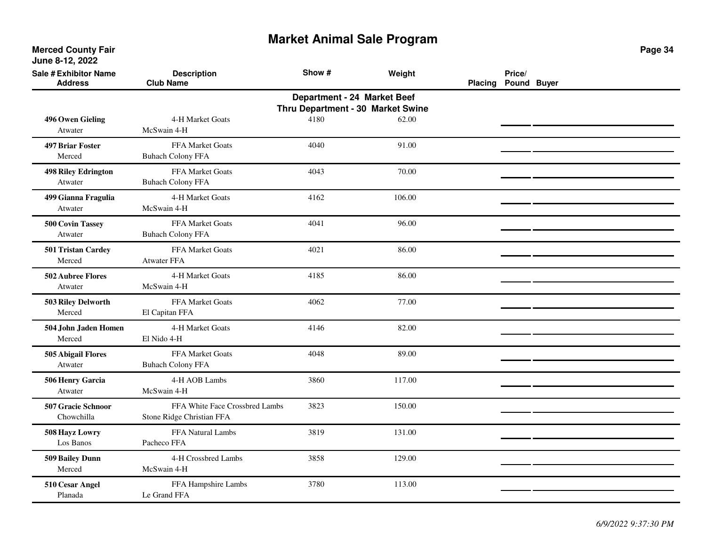**Merced County Fair June 8-12, 2022**

| <b>Sale # Exhibitor Name</b><br><b>Address</b> | <b>Description</b><br><b>Club Name</b>                      | Show # | Weight | Placing | Price/<br>Pound Buyer |  |
|------------------------------------------------|-------------------------------------------------------------|--------|--------|---------|-----------------------|--|
| 496 Owen Gieling                               | Thru Department - 30 Market Swine<br>4-H Market Goats       |        |        |         |                       |  |
| Atwater                                        | McSwain 4-H                                                 | 4180   | 62.00  |         |                       |  |
| <b>497 Briar Foster</b><br>Merced              | FFA Market Goats<br><b>Buhach Colony FFA</b>                | 4040   | 91.00  |         |                       |  |
| <b>498 Riley Edrington</b><br>Atwater          | FFA Market Goats<br><b>Buhach Colony FFA</b>                | 4043   | 70.00  |         |                       |  |
| 499 Gianna Fragulia<br>Atwater                 | 4-H Market Goats<br>McSwain 4-H                             | 4162   | 106.00 |         |                       |  |
| <b>500 Covin Tassey</b><br>Atwater             | FFA Market Goats<br><b>Buhach Colony FFA</b>                | 4041   | 96.00  |         |                       |  |
| 501 Tristan Cardey<br>Merced                   | FFA Market Goats<br><b>Atwater FFA</b>                      | 4021   | 86.00  |         |                       |  |
| 502 Aubree Flores<br>Atwater                   | 4-H Market Goats<br>McSwain 4-H                             | 4185   | 86.00  |         |                       |  |
| 503 Riley Delworth<br>Merced                   | FFA Market Goats<br>El Capitan FFA                          | 4062   | 77.00  |         |                       |  |
| 504 John Jaden Homen<br>Merced                 | 4-H Market Goats<br>El Nido 4-H                             | 4146   | 82.00  |         |                       |  |
| 505 Abigail Flores<br>Atwater                  | FFA Market Goats<br><b>Buhach Colony FFA</b>                | 4048   | 89.00  |         |                       |  |
| 506 Henry Garcia<br>Atwater                    | 4-H AOB Lambs<br>McSwain 4-H                                | 3860   | 117.00 |         |                       |  |
| 507 Gracie Schnoor<br>Chowchilla               | FFA White Face Crossbred Lambs<br>Stone Ridge Christian FFA | 3823   | 150.00 |         |                       |  |
| 508 Hayz Lowry<br>Los Banos                    | FFA Natural Lambs<br>Pacheco FFA                            | 3819   | 131.00 |         |                       |  |
| 509 Bailey Dunn<br>Merced                      | 4-H Crossbred Lambs<br>McSwain 4-H                          | 3858   | 129.00 |         |                       |  |
| 510 Cesar Angel<br>Planada                     | FFA Hampshire Lambs<br>Le Grand FFA                         | 3780   | 113.00 |         |                       |  |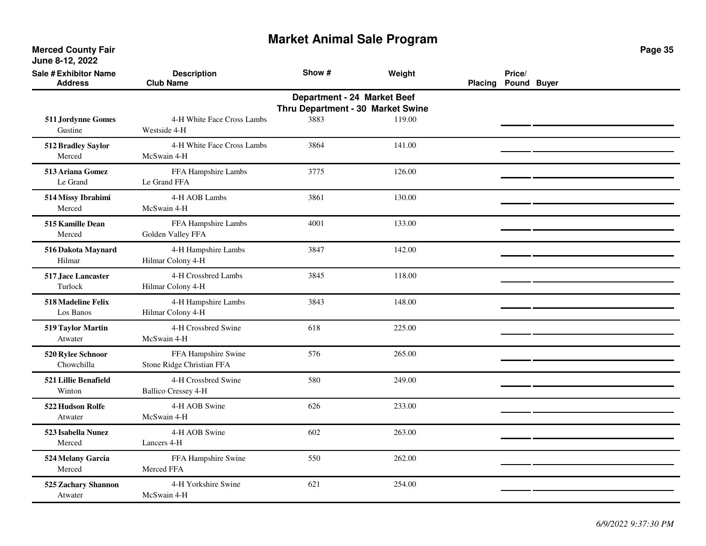| <b>Sale # Exhibitor Name</b><br><b>Address</b> | <b>Description</b><br><b>Club Name</b>            | Show #                                                           | Weight | Placing | Price/<br>Pound Buyer |  |
|------------------------------------------------|---------------------------------------------------|------------------------------------------------------------------|--------|---------|-----------------------|--|
|                                                |                                                   | Department - 24 Market Beef<br>Thru Department - 30 Market Swine |        |         |                       |  |
| 511 Jordynne Gomes<br>Gustine                  | 4-H White Face Cross Lambs<br>Westside 4-H        | 3883                                                             | 119.00 |         |                       |  |
| 512 Bradley Saylor<br>Merced                   | 4-H White Face Cross Lambs<br>McSwain 4-H         | 3864                                                             | 141.00 |         |                       |  |
| 513 Ariana Gomez<br>Le Grand                   | FFA Hampshire Lambs<br>Le Grand FFA               | 3775                                                             | 126.00 |         |                       |  |
| 514 Missy Ibrahimi<br>Merced                   | 4-H AOB Lambs<br>McSwain 4-H                      | 3861                                                             | 130.00 |         |                       |  |
| 515 Kamille Dean<br>Merced                     | FFA Hampshire Lambs<br>Golden Valley FFA          | 4001                                                             | 133.00 |         |                       |  |
| 516 Dakota Maynard<br>Hilmar                   | 4-H Hampshire Lambs<br>Hilmar Colony 4-H          | 3847                                                             | 142.00 |         |                       |  |
| 517 Jace Lancaster<br>Turlock                  | 4-H Crossbred Lambs<br>Hilmar Colony 4-H          | 3845                                                             | 118.00 |         |                       |  |
| 518 Madeline Felix<br>Los Banos                | 4-H Hampshire Lambs<br>Hilmar Colony 4-H          | 3843                                                             | 148.00 |         |                       |  |
| 519 Taylor Martin<br>Atwater                   | 4-H Crossbred Swine<br>McSwain 4-H                | 618                                                              | 225.00 |         |                       |  |
| 520 Rylee Schnoor<br>Chowchilla                | FFA Hampshire Swine<br>Stone Ridge Christian FFA  | 576                                                              | 265.00 |         |                       |  |
| 521 Lillie Benafield<br>Winton                 | 4-H Crossbred Swine<br><b>Ballico Cressey 4-H</b> | 580                                                              | 249.00 |         |                       |  |
| 522 Hudson Rolfe<br>Atwater                    | 4-H AOB Swine<br>McSwain 4-H                      | 626                                                              | 233.00 |         |                       |  |
| 523 Isabella Nunez<br>Merced                   | 4-H AOB Swine<br>Lancers 4-H                      | 602                                                              | 263.00 |         |                       |  |
| 524 Melany Garcia<br>Merced                    | FFA Hampshire Swine<br>Merced FFA                 | 550                                                              | 262.00 |         |                       |  |
| 525 Zachary Shannon<br>Atwater                 | 4-H Yorkshire Swine<br>McSwain 4-H                | 621                                                              | 254.00 |         |                       |  |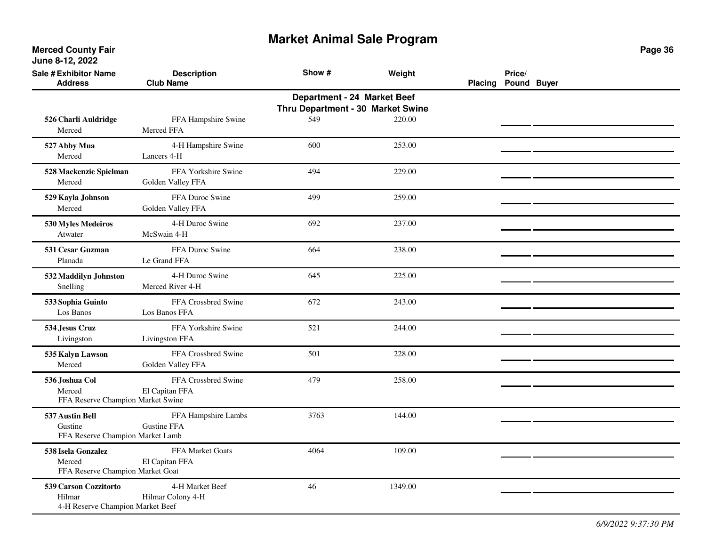| <b>Sale # Exhibitor Name</b><br><b>Address</b>                      | <b>Description</b><br><b>Club Name</b>   | Show #                                   | Weight  | <b>Placing</b> | Price/<br>Pound Buyer |  |
|---------------------------------------------------------------------|------------------------------------------|------------------------------------------|---------|----------------|-----------------------|--|
|                                                                     |                                          | Department - 24 Market Beef              |         |                |                       |  |
| 526 Charli Auldridge<br>Merced                                      | FFA Hampshire Swine<br>Merced FFA        | Thru Department - 30 Market Swine<br>549 | 220.00  |                |                       |  |
| 527 Abby Mua<br>Merced                                              | 4-H Hampshire Swine<br>Lancers 4-H       | 600                                      | 253.00  |                |                       |  |
| 528 Mackenzie Spielman<br>Merced                                    | FFA Yorkshire Swine<br>Golden Valley FFA | 494                                      | 229.00  |                |                       |  |
| 529 Kayla Johnson<br>Merced                                         | FFA Duroc Swine<br>Golden Valley FFA     | 499                                      | 259.00  |                |                       |  |
| 530 Myles Medeiros<br>Atwater                                       | 4-H Duroc Swine<br>McSwain 4-H           | 692                                      | 237.00  |                |                       |  |
| 531 Cesar Guzman<br>Planada                                         | FFA Duroc Swine<br>Le Grand FFA          | 664                                      | 238.00  |                |                       |  |
| 532 Maddilyn Johnston<br>Snelling                                   | 4-H Duroc Swine<br>Merced River 4-H      | 645                                      | 225.00  |                |                       |  |
| 533 Sophia Guinto<br>Los Banos                                      | FFA Crossbred Swine<br>Los Banos FFA     | 672                                      | 243.00  |                |                       |  |
| 534 Jesus Cruz<br>Livingston                                        | FFA Yorkshire Swine<br>Livingston FFA    | 521                                      | 244.00  |                |                       |  |
| 535 Kalyn Lawson<br>Merced                                          | FFA Crossbred Swine<br>Golden Valley FFA | 501                                      | 228.00  |                |                       |  |
| 536 Joshua Col<br>Merced<br>FFA Reserve Champion Market Swine       | FFA Crossbred Swine<br>El Capitan FFA    | 479                                      | 258.00  |                |                       |  |
| 537 Austin Bell<br>Gustine<br>FFA Reserve Champion Market Lamb      | FFA Hampshire Lambs<br>Gustine FFA       | 3763                                     | 144.00  |                |                       |  |
| 538 Isela Gonzalez<br>Merced<br>FFA Reserve Champion Market Goat    | FFA Market Goats<br>El Capitan FFA       | 4064                                     | 109.00  |                |                       |  |
| 539 Carson Cozzitorto<br>Hilmar<br>4-H Reserve Champion Market Beef | 4-H Market Beef<br>Hilmar Colony 4-H     | 46                                       | 1349.00 |                |                       |  |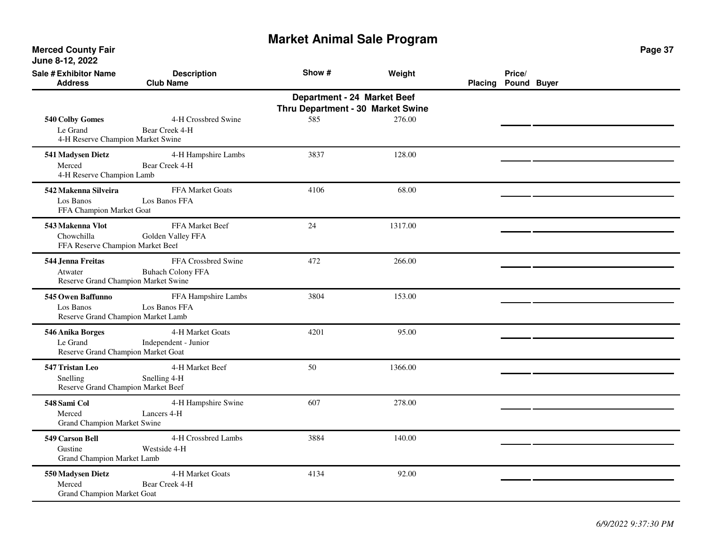**Merced County Fair June 8-12, 2022**

| <b>Sale # Exhibitor Name</b><br><b>Address</b>                       | <b>Description</b><br><b>Club Name</b>          | Show # | Weight  | Placing Pound Buyer | Price/ |  |  |  |  |  |
|----------------------------------------------------------------------|-------------------------------------------------|--------|---------|---------------------|--------|--|--|--|--|--|
| Department - 24 Market Beef<br>Thru Department - 30 Market Swine     |                                                 |        |         |                     |        |  |  |  |  |  |
| 540 Colby Gomes<br>Le Grand<br>4-H Reserve Champion Market Swine     | 4-H Crossbred Swine<br>Bear Creek 4-H           | 585    | 276.00  |                     |        |  |  |  |  |  |
| 541 Madysen Dietz<br>Merced<br>4-H Reserve Champion Lamb             | 4-H Hampshire Lambs<br>Bear Creek 4-H           | 3837   | 128.00  |                     |        |  |  |  |  |  |
| 542 Makenna Silveira<br>Los Banos<br>FFA Champion Market Goat        | FFA Market Goats<br>Los Banos FFA               | 4106   | 68.00   |                     |        |  |  |  |  |  |
| 543 Makenna Vlot<br>Chowchilla<br>FFA Reserve Champion Market Beel   | FFA Market Beef<br>Golden Valley FFA            | 24     | 1317.00 |                     |        |  |  |  |  |  |
| 544 Jenna Freitas<br>Atwater<br>Reserve Grand Champion Market Swine  | FFA Crossbred Swine<br><b>Buhach Colony FFA</b> | 472    | 266.00  |                     |        |  |  |  |  |  |
| 545 Owen Baffunno<br>Los Banos<br>Reserve Grand Champion Market Lamb | FFA Hampshire Lambs<br>Los Banos FFA            | 3804   | 153.00  |                     |        |  |  |  |  |  |
| 546 Anika Borges<br>Le Grand<br>Reserve Grand Champion Market Goat   | 4-H Market Goats<br>Independent - Junior        | 4201   | 95.00   |                     |        |  |  |  |  |  |
| 547 Tristan Leo<br>Snelling<br>Reserve Grand Champion Market Beef    | 4-H Market Beef<br>Snelling 4-H                 | 50     | 1366.00 |                     |        |  |  |  |  |  |
| 548 Sami Col<br>Merced<br>Grand Champion Market Swine                | 4-H Hampshire Swine<br>Lancers 4-H              | 607    | 278.00  |                     |        |  |  |  |  |  |
| 549 Carson Bell<br>Gustine<br>Grand Champion Market Lamb             | 4-H Crossbred Lambs<br>Westside 4-H             | 3884   | 140.00  |                     |        |  |  |  |  |  |
| 550 Madysen Dietz<br>Merced<br><b>Grand Champion Market Goat</b>     | 4-H Market Goats<br>Bear Creek 4-H              | 4134   | 92.00   |                     |        |  |  |  |  |  |